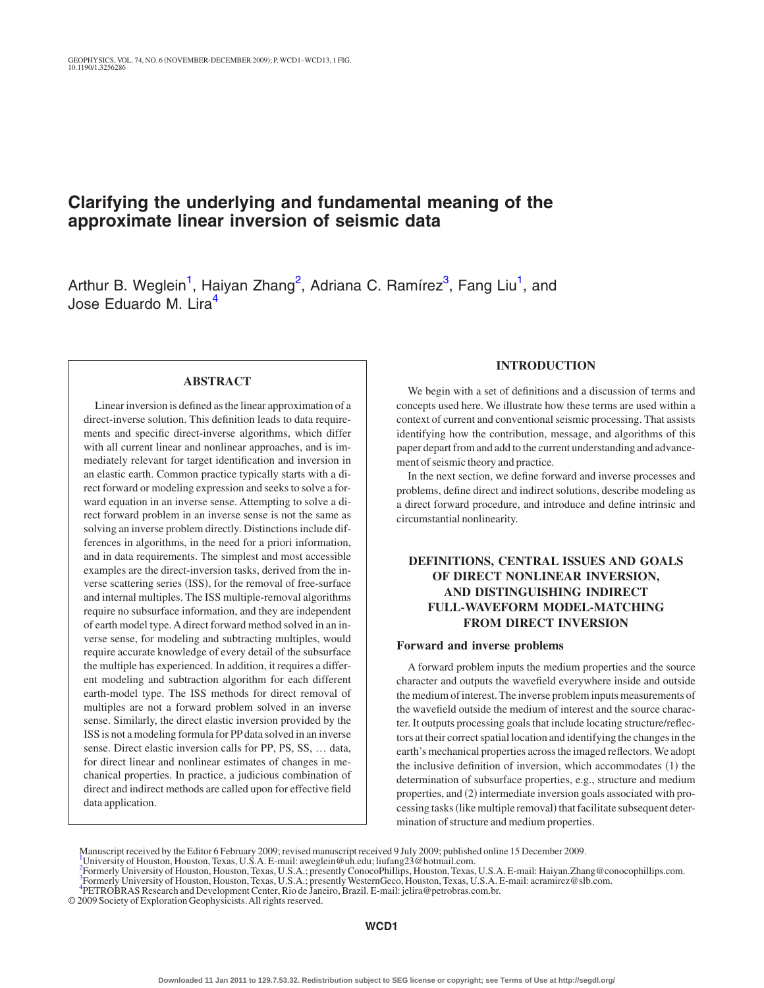# **Clarifying the underlying and fundamental meaning of the approximate linear inversion of seismic data**

Arthur B. Weglein<sup>1</sup>, Haiyan Zhang<sup>2</sup>, Adriana C. Ramírez<sup>3</sup>, Fang Liu<sup>1</sup>, and Jose Eduardo M. Lira<sup>4</sup>

### **ABSTRACT**

Linear inversion is defined as the linear approximation of a direct-inverse solution. This definition leads to data requirements and specific direct-inverse algorithms, which differ with all current linear and nonlinear approaches, and is immediately relevant for target identification and inversion in an elastic earth. Common practice typically starts with a direct forward or modeling expression and seeks to solve a forward equation in an inverse sense. Attempting to solve a direct forward problem in an inverse sense is not the same as solving an inverse problem directly. Distinctions include differences in algorithms, in the need for a priori information, and in data requirements. The simplest and most accessible examples are the direct-inversion tasks, derived from the inverse scattering series (ISS), for the removal of free-surface and internal multiples. The ISS multiple-removal algorithms require no subsurface information, and they are independent of earth model type. A direct forward method solved in an inverse sense, for modeling and subtracting multiples, would require accurate knowledge of every detail of the subsurface the multiple has experienced. In addition, it requires a different modeling and subtraction algorithm for each different earth-model type. The ISS methods for direct removal of multiples are not a forward problem solved in an inverse sense. Similarly, the direct elastic inversion provided by the ISS is not a modeling formula for PP data solved in an inverse sense. Direct elastic inversion calls for PP, PS, SS, … data, for direct linear and nonlinear estimates of changes in mechanical properties. In practice, a judicious combination of direct and indirect methods are called upon for effective field data application.

# **INTRODUCTION**

We begin with a set of definitions and a discussion of terms and concepts used here. We illustrate how these terms are used within a context of current and conventional seismic processing. That assists identifying how the contribution, message, and algorithms of this paper depart from and add to the current understanding and advancement of seismic theory and practice.

In the next section, we define forward and inverse processes and problems, define direct and indirect solutions, describe modeling as a direct forward procedure, and introduce and define intrinsic and circumstantial nonlinearity.

# **DEFINITIONS, CENTRAL ISSUES AND GOALS OF DIRECT NONLINEAR INVERSION, AND DISTINGUISHING INDIRECT FULL-WAVEFORM MODEL-MATCHING FROM DIRECT INVERSION**

### **Forward and inverse problems**

A forward problem inputs the medium properties and the source character and outputs the wavefield everywhere inside and outside the medium of interest. The inverse problem inputs measurements of the wavefield outside the medium of interest and the source character. It outputs processing goals that include locating structure/reflectors at their correct spatial location and identifying the changes in the earth's mechanical properties across the imaged reflectors.We adopt the inclusive definition of inversion, which accommodates (1) the determination of subsurface properties, e.g., structure and medium properties, and (2) intermediate inversion goals associated with processing tasks (like multiple removal) that facilitate subsequent determination of structure and medium properties.

<span id="page-0-2"></span><span id="page-0-1"></span>

<span id="page-0-0"></span>Manuscript received by the Editor 6 February 2009; revised manuscript received 9 July 2009; published online [1](#page-0-0)5 December [2](#page-0-1)009.<br><sup>1</sup>University of Houston, Houston, Texas, U.S.A. E-mail: aweglein@uh.edu; liufang2[3](#page-0-2)@hotmail.com

<span id="page-0-3"></span>[4](#page-0-3) PETROBRAS Research and Development Center, Rio de Janeiro, Brazil. E-mail: jelira@petrobras.com.br.

© 2009 Society of Exploration Geophysicists.All rights reserved.

**WCD1**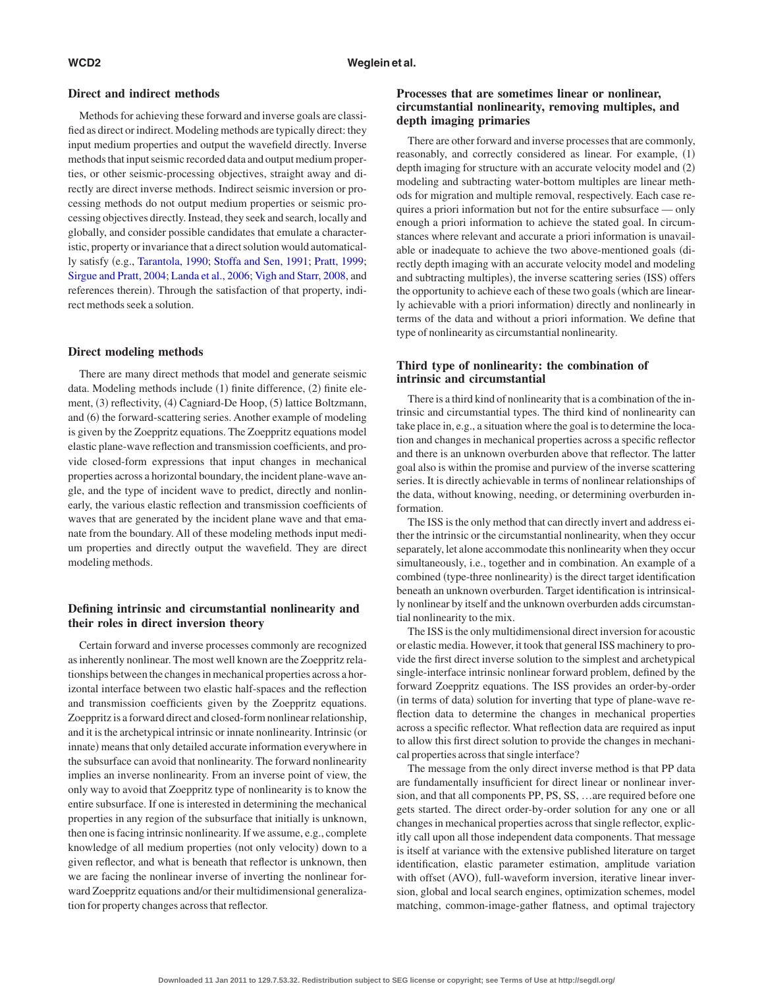### **Direct and indirect methods**

Methods for achieving these forward and inverse goals are classified as direct or indirect. Modeling methods are typically direct: they input medium properties and output the wavefield directly. Inverse methods that input seismic recorded data and output medium properties, or other seismic-processing objectives, straight away and directly are direct inverse methods. Indirect seismic inversion or processing methods do not output medium properties or seismic processing objectives directly. Instead, they seek and search, locally and globally, and consider possible candidates that emulate a characteristic, property or invariance that a direct solution would automatical-ly satisfy (e.g., [Tarantola, 1990;](#page-11-0) [Stoffa and Sen, 1991;](#page-11-1) [Pratt, 1999;](#page-11-2) [Sirgue and Pratt, 2004;](#page-11-3) [Landa et al., 2006;](#page-11-4) [Vigh and Starr, 2008,](#page-11-5) and references therein). Through the satisfaction of that property, indirect methods seek a solution.

#### **Direct modeling methods**

There are many direct methods that model and generate seismic data. Modeling methods include (1) finite difference, (2) finite element, (3) reflectivity, (4) Cagniard-De Hoop, (5) lattice Boltzmann, and (6) the forward-scattering series. Another example of modeling is given by the Zoeppritz equations. The Zoeppritz equations model elastic plane-wave reflection and transmission coefficients, and provide closed-form expressions that input changes in mechanical properties across a horizontal boundary, the incident plane-wave angle, and the type of incident wave to predict, directly and nonlinearly, the various elastic reflection and transmission coefficients of waves that are generated by the incident plane wave and that emanate from the boundary. All of these modeling methods input medium properties and directly output the wavefield. They are direct modeling methods.

# **Defining intrinsic and circumstantial nonlinearity and their roles in direct inversion theory**

Certain forward and inverse processes commonly are recognized as inherently nonlinear. The most well known are the Zoeppritz relationships between the changes in mechanical properties across a horizontal interface between two elastic half-spaces and the reflection and transmission coefficients given by the Zoeppritz equations. Zoeppritz is a forward direct and closed-form nonlinear relationship, and it is the archetypical intrinsic or innate nonlinearity. Intrinsic (or innate) means that only detailed accurate information everywhere in the subsurface can avoid that nonlinearity. The forward nonlinearity implies an inverse nonlinearity. From an inverse point of view, the only way to avoid that Zoeppritz type of nonlinearity is to know the entire subsurface. If one is interested in determining the mechanical properties in any region of the subsurface that initially is unknown, then one is facing intrinsic nonlinearity. If we assume, e.g., complete knowledge of all medium properties (not only velocity) down to a given reflector, and what is beneath that reflector is unknown, then we are facing the nonlinear inverse of inverting the nonlinear forward Zoeppritz equations and/or their multidimensional generalization for property changes across that reflector.

# **Processes that are sometimes linear or nonlinear, circumstantial nonlinearity, removing multiples, and depth imaging primaries**

There are other forward and inverse processes that are commonly, reasonably, and correctly considered as linear. For example, (1) depth imaging for structure with an accurate velocity model and (2) modeling and subtracting water-bottom multiples are linear methods for migration and multiple removal, respectively. Each case requires a priori information but not for the entire subsurface — only enough a priori information to achieve the stated goal. In circumstances where relevant and accurate a priori information is unavailable or inadequate to achieve the two above-mentioned goals directly depth imaging with an accurate velocity model and modeling and subtracting multiples), the inverse scattering series (ISS) offers the opportunity to achieve each of these two goals (which are linearly achievable with a priori information) directly and nonlinearly in terms of the data and without a priori information. We define that type of nonlinearity as circumstantial nonlinearity.

# **Third type of nonlinearity: the combination of intrinsic and circumstantial**

There is a third kind of nonlinearity that is a combination of the intrinsic and circumstantial types. The third kind of nonlinearity can take place in, e.g., a situation where the goal is to determine the location and changes in mechanical properties across a specific reflector and there is an unknown overburden above that reflector. The latter goal also is within the promise and purview of the inverse scattering series. It is directly achievable in terms of nonlinear relationships of the data, without knowing, needing, or determining overburden information.

The ISS is the only method that can directly invert and address either the intrinsic or the circumstantial nonlinearity, when they occur separately, let alone accommodate this nonlinearity when they occur simultaneously, i.e., together and in combination. An example of a combined (type-three nonlinearity) is the direct target identification beneath an unknown overburden. Target identification is intrinsically nonlinear by itself and the unknown overburden adds circumstantial nonlinearity to the mix.

The ISS is the only multidimensional direct inversion for acoustic or elastic media. However, it took that general ISS machinery to provide the first direct inverse solution to the simplest and archetypical single-interface intrinsic nonlinear forward problem, defined by the forward Zoeppritz equations. The ISS provides an order-by-order (in terms of data) solution for inverting that type of plane-wave reflection data to determine the changes in mechanical properties across a specific reflector. What reflection data are required as input to allow this first direct solution to provide the changes in mechanical properties across that single interface?

The message from the only direct inverse method is that PP data are fundamentally insufficient for direct linear or nonlinear inversion, and that all components PP, PS, SS, …are required before one gets started. The direct order-by-order solution for any one or all changes in mechanical properties across that single reflector, explicitly call upon all those independent data components. That message is itself at variance with the extensive published literature on target identification, elastic parameter estimation, amplitude variation with offset (AVO), full-waveform inversion, iterative linear inversion, global and local search engines, optimization schemes, model matching, common-image-gather flatness, and optimal trajectory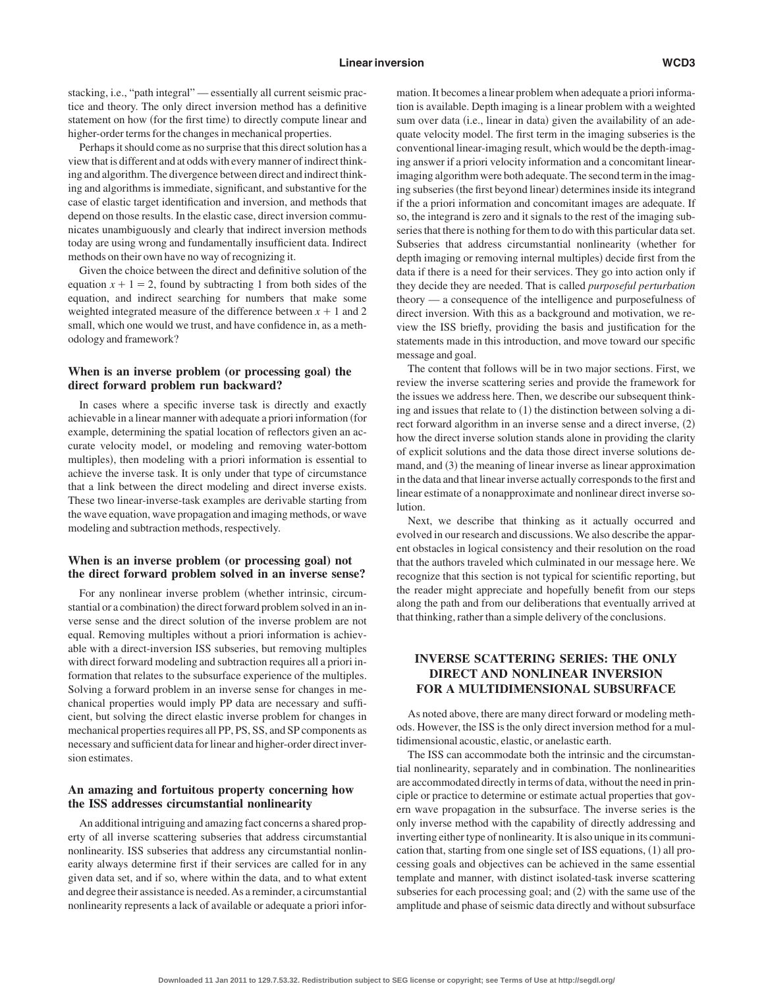stacking, i.e., "path integral" — essentially all current seismic practice and theory. The only direct inversion method has a definitive statement on how (for the first time) to directly compute linear and higher-order terms for the changes in mechanical properties.

Perhaps it should come as no surprise that this direct solution has a view that is different and at odds with every manner of indirect thinking and algorithm. The divergence between direct and indirect thinking and algorithms is immediate, significant, and substantive for the case of elastic target identification and inversion, and methods that depend on those results. In the elastic case, direct inversion communicates unambiguously and clearly that indirect inversion methods today are using wrong and fundamentally insufficient data. Indirect methods on their own have no way of recognizing it.

Given the choice between the direct and definitive solution of the equation  $x + 1 = 2$ , found by subtracting 1 from both sides of the equation, and indirect searching for numbers that make some weighted integrated measure of the difference between  $x + 1$  and 2 small, which one would we trust, and have confidence in, as a methodology and framework?

### **When is an inverse problem (or processing goal) the direct forward problem run backward?**

In cases where a specific inverse task is directly and exactly achievable in a linear manner with adequate a priori information (for example, determining the spatial location of reflectors given an accurate velocity model, or modeling and removing water-bottom multiples), then modeling with a priori information is essential to achieve the inverse task. It is only under that type of circumstance that a link between the direct modeling and direct inverse exists. These two linear-inverse-task examples are derivable starting from the wave equation, wave propagation and imaging methods, or wave modeling and subtraction methods, respectively.

### **When is an inverse problem (or processing goal) not the direct forward problem solved in an inverse sense?**

For any nonlinear inverse problem (whether intrinsic, circumstantial or a combination) the direct forward problem solved in an inverse sense and the direct solution of the inverse problem are not equal. Removing multiples without a priori information is achievable with a direct-inversion ISS subseries, but removing multiples with direct forward modeling and subtraction requires all a priori information that relates to the subsurface experience of the multiples. Solving a forward problem in an inverse sense for changes in mechanical properties would imply PP data are necessary and sufficient, but solving the direct elastic inverse problem for changes in mechanical properties requires all PP, PS, SS, and SP components as necessary and sufficient data for linear and higher-order direct inversion estimates.

### **An amazing and fortuitous property concerning how the ISS addresses circumstantial nonlinearity**

An additional intriguing and amazing fact concerns a shared property of all inverse scattering subseries that address circumstantial nonlinearity. ISS subseries that address any circumstantial nonlinearity always determine first if their services are called for in any given data set, and if so, where within the data, and to what extent and degree their assistance is needed.As a reminder, a circumstantial nonlinearity represents a lack of available or adequate a priori information. It becomes a linear problem when adequate a priori information is available. Depth imaging is a linear problem with a weighted sum over data (i.e., linear in data) given the availability of an adequate velocity model. The first term in the imaging subseries is the conventional linear-imaging result, which would be the depth-imaging answer if a priori velocity information and a concomitant linearimaging algorithm were both adequate. The second term in the imaging subseries (the first beyond linear) determines inside its integrand if the a priori information and concomitant images are adequate. If so, the integrand is zero and it signals to the rest of the imaging subseries that there is nothing for them to do with this particular data set. Subseries that address circumstantial nonlinearity (whether for depth imaging or removing internal multiples) decide first from the data if there is a need for their services. They go into action only if they decide they are needed. That is called *purposeful perturbation* theory — a consequence of the intelligence and purposefulness of direct inversion. With this as a background and motivation, we review the ISS briefly, providing the basis and justification for the statements made in this introduction, and move toward our specific message and goal.

The content that follows will be in two major sections. First, we review the inverse scattering series and provide the framework for the issues we address here. Then, we describe our subsequent thinking and issues that relate to  $(1)$  the distinction between solving a direct forward algorithm in an inverse sense and a direct inverse, (2) how the direct inverse solution stands alone in providing the clarity of explicit solutions and the data those direct inverse solutions demand, and (3) the meaning of linear inverse as linear approximation in the data and that linear inverse actually corresponds to the first and linear estimate of a nonapproximate and nonlinear direct inverse solution.

Next, we describe that thinking as it actually occurred and evolved in our research and discussions. We also describe the apparent obstacles in logical consistency and their resolution on the road that the authors traveled which culminated in our message here. We recognize that this section is not typical for scientific reporting, but the reader might appreciate and hopefully benefit from our steps along the path and from our deliberations that eventually arrived at that thinking, rather than a simple delivery of the conclusions.

# **INVERSE SCATTERING SERIES: THE ONLY DIRECT AND NONLINEAR INVERSION FOR A MULTIDIMENSIONAL SUBSURFACE**

As noted above, there are many direct forward or modeling methods. However, the ISS is the only direct inversion method for a multidimensional acoustic, elastic, or anelastic earth.

The ISS can accommodate both the intrinsic and the circumstantial nonlinearity, separately and in combination. The nonlinearities are accommodated directly in terms of data, without the need in principle or practice to determine or estimate actual properties that govern wave propagation in the subsurface. The inverse series is the only inverse method with the capability of directly addressing and inverting either type of nonlinearity. It is also unique in its communication that, starting from one single set of ISS equations, (1) all processing goals and objectives can be achieved in the same essential template and manner, with distinct isolated-task inverse scattering subseries for each processing goal; and (2) with the same use of the amplitude and phase of seismic data directly and without subsurface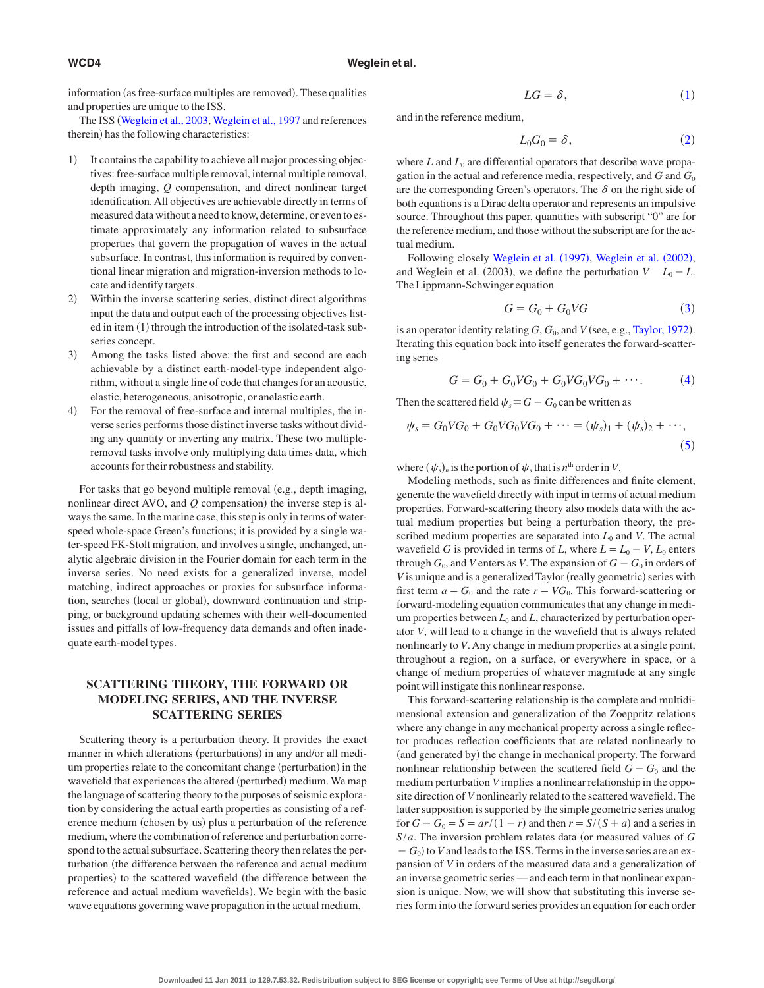### **WCD4 Weglein et al.**

information (as free-surface multiples are removed). These qualities and properties are unique to the ISS.

The ISS [Weglein et al., 2003,](#page-12-0) [Weglein et al., 1997](#page-12-1) and references therein) has the following characteristics:

- 1) It contains the capability to achieve all major processing objectives: free-surface multiple removal, internal multiple removal, depth imaging, *Q* compensation, and direct nonlinear target identification. All objectives are achievable directly in terms of measured data without a need to know, determine, or even to estimate approximately any information related to subsurface properties that govern the propagation of waves in the actual subsurface. In contrast, this information is required by conventional linear migration and migration-inversion methods to locate and identify targets.
- 2- Within the inverse scattering series, distinct direct algorithms input the data and output each of the processing objectives listed in item (1) through the introduction of the isolated-task subseries concept.
- 3) Among the tasks listed above: the first and second are each achievable by a distinct earth-model-type independent algorithm, without a single line of code that changes for an acoustic, elastic, heterogeneous, anisotropic, or anelastic earth.
- 4) For the removal of free-surface and internal multiples, the inverse series performs those distinct inverse tasks without dividing any quantity or inverting any matrix. These two multipleremoval tasks involve only multiplying data times data, which accounts for their robustness and stability.

For tasks that go beyond multiple removal (e.g., depth imaging, nonlinear direct AVO, and  $Q$  compensation) the inverse step is always the same. In the marine case, this step is only in terms of waterspeed whole-space Green's functions; it is provided by a single water-speed FK-Stolt migration, and involves a single, unchanged, analytic algebraic division in the Fourier domain for each term in the inverse series. No need exists for a generalized inverse, model matching, indirect approaches or proxies for subsurface information, searches (local or global), downward continuation and stripping, or background updating schemes with their well-documented issues and pitfalls of low-frequency data demands and often inadequate earth-model types.

# **SCATTERING THEORY, THE FORWARD OR MODELING SERIES, AND THE INVERSE SCATTERING SERIES**

Scattering theory is a perturbation theory. It provides the exact manner in which alterations (perturbations) in any and/or all medium properties relate to the concomitant change (perturbation) in the wavefield that experiences the altered (perturbed) medium. We map the language of scattering theory to the purposes of seismic exploration by considering the actual earth properties as consisting of a reference medium (chosen by us) plus a perturbation of the reference medium, where the combination of reference and perturbation correspond to the actual subsurface. Scattering theory then relates the perturbation (the difference between the reference and actual medium properties) to the scattered wavefield (the difference between the reference and actual medium wavefields). We begin with the basic wave equations governing wave propagation in the actual medium,

$$
LG = \delta,\tag{1}
$$

<span id="page-3-1"></span><span id="page-3-0"></span>and in the reference medium,

$$
L_0 G_0 = \delta,\t\t(2)
$$

where  $L$  and  $L_0$  are differential operators that describe wave propagation in the actual and reference media, respectively, and *G* and *G*<sup>0</sup> are the corresponding Green's operators. The  $\delta$  on the right side of both equations is a Dirac delta operator and represents an impulsive source. Throughout this paper, quantities with subscript "0" are for the reference medium, and those without the subscript are for the actual medium.

Following closely [Weglein et al.](#page-12-2) (1997), Weglein et al. (2002), and Weglein et al. (2003), we define the perturbation  $V = L_0 - L$ . The Lippmann-Schwinger equation

$$
G = G_0 + G_0 V G \tag{3}
$$

<span id="page-3-2"></span>is an operator identity relating  $G$ ,  $G_0$ , and  $V$  (see, e.g., [Taylor, 1972](#page-11-6)). Iterating this equation back into itself generates the forward-scattering series

$$
G = G_0 + G_0 V G_0 + G_0 V G_0 V G_0 + \cdots. \tag{4}
$$

<span id="page-3-4"></span><span id="page-3-3"></span>Then the scattered field  $\psi_s \equiv G - G_0$  can be written as

$$
\psi_s = G_0 V G_0 + G_0 V G_0 V G_0 + \dots = (\psi_s)_1 + (\psi_s)_2 + \dots,
$$
\n(5)

where  $(\psi_s)_n$  is the portion of  $\psi_s$  that is  $n^{\text{th}}$  order in *V*.

Modeling methods, such as finite differences and finite element, generate the wavefield directly with input in terms of actual medium properties. Forward-scattering theory also models data with the actual medium properties but being a perturbation theory, the prescribed medium properties are separated into  $L_0$  and *V*. The actual wavefield *G* is provided in terms of *L*, where  $L = L_0 - V$ ,  $L_0$  enters through  $G_0$ , and *V* enters as *V*. The expansion of  $G - G_0$  in orders of V is unique and is a generalized Taylor (really geometric) series with first term  $a = G_0$  and the rate  $r = VG_0$ . This forward-scattering or forward-modeling equation communicates that any change in medium properties between  $L_0$  and  $L$ , characterized by perturbation operator *V*, will lead to a change in the wavefield that is always related nonlinearly to *V*. Any change in medium properties at a single point, throughout a region, on a surface, or everywhere in space, or a change of medium properties of whatever magnitude at any single point will instigate this nonlinear response.

This forward-scattering relationship is the complete and multidimensional extension and generalization of the Zoeppritz relations where any change in any mechanical property across a single reflector produces reflection coefficients that are related nonlinearly to (and generated by) the change in mechanical property. The forward nonlinear relationship between the scattered field  $G - G_0$  and the medium perturbation *V* implies a nonlinear relationship in the opposite direction of *V* nonlinearly related to the scattered wavefield. The latter supposition is supported by the simple geometric series analog for  $G - G_0 = S = ar/(1 - r)$  and then  $r = S/(S + a)$  and a series in *S*/*a*. The inversion problem relates data (or measured values of *G*  $-G<sub>0</sub>$ ) to *V* and leads to the ISS. Terms in the inverse series are an expansion of *V* in orders of the measured data and a generalization of an inverse geometric series— and each term in that nonlinear expansion is unique. Now, we will show that substituting this inverse series form into the forward series provides an equation for each order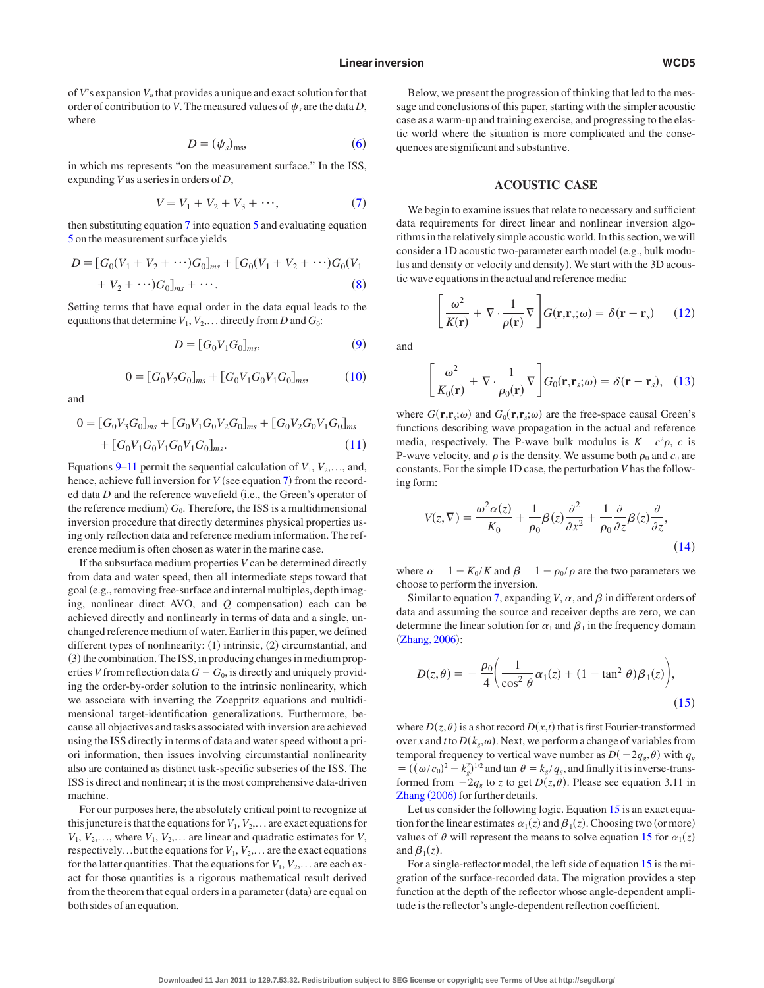of  $V$ 's expansion  $V<sub>n</sub>$ , that provides a unique and exact solution for that order of contribution to *V*. The measured values of  $\psi_s$  are the data *D*, where

$$
D = (\psi_s)_{\text{ms}},\tag{6}
$$

<span id="page-4-1"></span><span id="page-4-0"></span>in which ms represents "on the measurement surface." In the ISS, expanding *V* as a series in orders of *D*,

$$
V = V_1 + V_2 + V_3 + \cdots,
$$
 (7)

then substituting equation [7](#page-4-1) into equation [5](#page-3-4) and evaluating equation [5](#page-3-4) on the measurement surface yields

<span id="page-4-2"></span>
$$
D = [G_0(V_1 + V_2 + \cdots)G_0]_{ms} + [G_0(V_1 + V_2 + \cdots)G_0(V_1 + V_2 + \cdots)G_0]
$$
  
+  $V_2 + \cdots + V_0$ 

<span id="page-4-3"></span>Setting terms that have equal order in the data equal leads to the equations that determine  $V_1, V_2, \ldots$  directly from *D* and  $G_0$ :

$$
D = [G_0 V_1 G_0]_{ms},\tag{9}
$$

$$
0 = [G_0 V_2 G_0]_{ms} + [G_0 V_1 G_0 V_1 G_0]_{ms}, \tag{10}
$$

<span id="page-4-5"></span><span id="page-4-4"></span>and

$$
0 = [G_0 V_3 G_0]_{ms} + [G_0 V_1 G_0 V_2 G_0]_{ms} + [G_0 V_2 G_0 V_1 G_0]_{ms}
$$
  
+ 
$$
[G_0 V_1 G_0 V_1 G_0 V_1 G_0]_{ms}.
$$
 (11)

Equations [9–](#page-4-3)[11](#page-4-5) permit the sequential calculation of  $V_1$ ,  $V_2$ ,..., and, hence, achieve full inversion for  $V$  (see equation  $\overline{7}$  $\overline{7}$  $\overline{7}$ ) from the recorded data *D* and the reference wavefield (i.e., the Green's operator of the reference medium)  $G_0$ . Therefore, the ISS is a multidimensional inversion procedure that directly determines physical properties using only reflection data and reference medium information. The reference medium is often chosen as water in the marine case.

If the subsurface medium properties *V* can be determined directly from data and water speed, then all intermediate steps toward that goal (e.g., removing free-surface and internal multiples, depth imaging, nonlinear direct AVO, and  $Q$  compensation) each can be achieved directly and nonlinearly in terms of data and a single, unchanged reference medium of water. Earlier in this paper, we defined different types of nonlinearity: (1) intrinsic, (2) circumstantial, and (3) the combination. The ISS, in producing changes in medium properties *V* from reflection data  $G - G_0$ , is directly and uniquely providing the order-by-order solution to the intrinsic nonlinearity, which we associate with inverting the Zoeppritz equations and multidimensional target-identification generalizations. Furthermore, because all objectives and tasks associated with inversion are achieved using the ISS directly in terms of data and water speed without a priori information, then issues involving circumstantial nonlinearity also are contained as distinct task-specific subseries of the ISS. The ISS is direct and nonlinear; it is the most comprehensive data-driven machine.

For our purposes here, the absolutely critical point to recognize at this juncture is that the equations for  $V_1, V_2, \ldots$  are exact equations for  $V_1, V_2, \ldots$ , where  $V_1, V_2, \ldots$  are linear and quadratic estimates for *V*, respectively...but the equations for  $V_1, V_2, \ldots$  are the exact equations for the latter quantities. That the equations for  $V_1, V_2, \ldots$  are each exact for those quantities is a rigorous mathematical result derived from the theorem that equal orders in a parameter (data) are equal on both sides of an equation.

Below, we present the progression of thinking that led to the message and conclusions of this paper, starting with the simpler acoustic case as a warm-up and training exercise, and progressing to the elastic world where the situation is more complicated and the consequences are significant and substantive.

### **ACOUSTIC CASE**

We begin to examine issues that relate to necessary and sufficient data requirements for direct linear and nonlinear inversion algorithms in the relatively simple acoustic world. In this section, we will consider a 1D acoustic two-parameter earth model (e.g., bulk modulus and density or velocity and density). We start with the 3D acoustic wave equations in the actual and reference media:

<span id="page-4-6"></span>
$$
\left[\frac{\omega^2}{K(\mathbf{r})} + \nabla \cdot \frac{1}{\rho(\mathbf{r})} \nabla \right] G(\mathbf{r}, \mathbf{r}_s; \omega) = \delta(\mathbf{r} - \mathbf{r}_s) \qquad (12)
$$

<span id="page-4-7"></span>and

$$
\left[\frac{\omega^2}{K_0(\mathbf{r})} + \nabla \cdot \frac{1}{\rho_0(\mathbf{r})} \nabla \right] G_0(\mathbf{r}, \mathbf{r}_s; \omega) = \delta(\mathbf{r} - \mathbf{r}_s), \quad (13)
$$

where  $G(\mathbf{r}, \mathbf{r}_s; \omega)$  and  $G_0(\mathbf{r}, \mathbf{r}_s; \omega)$  are the free-space causal Green's functions describing wave propagation in the actual and reference media, respectively. The P-wave bulk modulus is  $K = c^2 \rho$ , *c* is P-wave velocity, and  $\rho$  is the density. We assume both  $\rho_0$  and  $c_0$  are constants. For the simple 1D case, the perturbation *V* has the following form:

<span id="page-4-8"></span>
$$
V(z,\nabla) = \frac{\omega^2 \alpha(z)}{K_0} + \frac{1}{\rho_0} \beta(z) \frac{\partial^2}{\partial x^2} + \frac{1}{\rho_0} \frac{\partial}{\partial z} \beta(z) \frac{\partial}{\partial z},\tag{14}
$$

where  $\alpha = 1 - K_0/K$  and  $\beta = 1 - \rho_0/\rho$  are the two parameters we choose to perform the inversion.

Similar to equation [7,](#page-4-1) expanding *V*,  $\alpha$ , and  $\beta$  in different orders of data and assuming the source and receiver depths are zero, we can determine the linear solution for  $\alpha_1$  and  $\beta_1$  in the frequency domain  $(Zhang, 2006)$  $(Zhang, 2006)$  $(Zhang, 2006)$ :

<span id="page-4-9"></span>
$$
D(z,\theta) = -\frac{\rho_0}{4} \left( \frac{1}{\cos^2 \theta} \alpha_1(z) + (1 - \tan^2 \theta) \beta_1(z) \right),\tag{15}
$$

where  $D(z, \theta)$  is a shot record  $D(x,t)$  that is first Fourier-transformed over *x* and *t* to  $D(k_g, \omega)$ . Next, we perform a change of variables from temporal frequency to vertical wave number as  $D(-2q_g, \theta)$  with  $q_g$  $= ((\omega/c_0)^2 - k_g^2)^{1/2}$  and tan  $\theta = k_g/q_g$ , and finally it is inverse-transformed from  $-2q<sub>g</sub>$  to *z* to get  $D(z, \theta)$ . Please see equation 3.11 in [Zhang](#page-12-3) (2006) for further details.

Let us consider the following logic. Equation [15](#page-4-9) is an exact equation for the linear estimates  $\alpha_1(z)$  and  $\beta_1(z)$ . Choosing two (or more) values of  $\theta$  will represent the means to solve equation [15](#page-4-9) for  $\alpha_1(z)$ and  $\beta_1(z)$ .

For a single-reflector model, the left side of equation [15](#page-4-9) is the migration of the surface-recorded data. The migration provides a step function at the depth of the reflector whose angle-dependent amplitude is the reflector's angle-dependent reflection coefficient.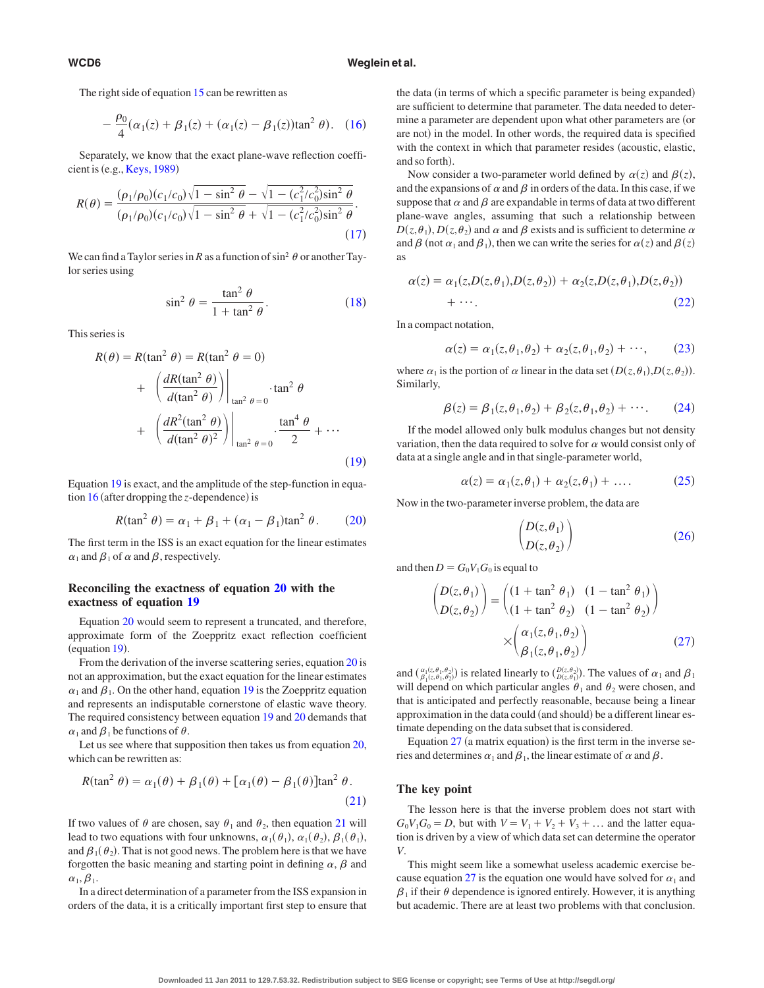# **WCD6 Weglein et al.**

<span id="page-5-0"></span>The right side of equation [15](#page-4-9) can be rewritten as

$$
-\frac{\rho_0}{4}(\alpha_1(z) + \beta_1(z) + (\alpha_1(z) - \beta_1(z))\tan^2\theta). (16)
$$

Separately, we know that the exact plane-wave reflection coeffi-cient is (e.g., [Keys, 1989](#page-11-7))

<span id="page-5-1"></span>
$$
R(\theta) = \frac{(\rho_1/\rho_0)(c_1/c_0)\sqrt{1-\sin^2\theta} - \sqrt{1-(c_1^2/c_0^2)\sin^2\theta}}{(\rho_1/\rho_0)(c_1/c_0)\sqrt{1-\sin^2\theta} + \sqrt{1-(c_1^2/c_0^2)\sin^2\theta}}.
$$
\n(17)

<span id="page-5-2"></span>We can find a Taylor series in R as a function of  $\sin^2 \theta$  or another Taylor series using

$$
\sin^2 \theta = \frac{\tan^2 \theta}{1 + \tan^2 \theta}.
$$
 (18)

<span id="page-5-3"></span>This series is

$$
R(\theta) = R(\tan^2 \theta) = R(\tan^2 \theta = 0)
$$
  
+  $\left(\frac{dR(\tan^2 \theta)}{d(\tan^2 \theta)}\right)\Big|_{\tan^2 \theta = 0} \cdot \tan^2 \theta$   
+  $\left(\frac{dR^2(\tan^2 \theta)}{d(\tan^2 \theta)^2}\right)\Big|_{\tan^2 \theta = 0} \cdot \frac{\tan^4 \theta}{2} + \cdots$  (19)

<span id="page-5-4"></span>Equation [19](#page-5-3) is exact, and the amplitude of the step-function in equa-tion [16](#page-5-0) (after dropping the *z*-dependence) is

$$
R(\tan^2 \theta) = \alpha_1 + \beta_1 + (\alpha_1 - \beta_1)\tan^2 \theta. \tag{20}
$$

The first term in the ISS is an exact equation for the linear estimates  $\alpha_1$  and  $\beta_1$  of  $\alpha$  and  $\beta$ , respectively.

### **Reconciling the exactness of equation [20](#page-5-4) with the exactness of equation [19](#page-5-3)**

Equation [20](#page-5-4) would seem to represent a truncated, and therefore, approximate form of the Zoeppritz exact reflection coefficient (equation [19](#page-5-3)).

From the derivation of the inverse scattering series, equation [20](#page-5-4) is not an approximation, but the exact equation for the linear estimates  $\alpha_1$  and  $\beta_1$ . On the other hand, equation [19](#page-5-3) is the Zoeppritz equation and represents an indisputable cornerstone of elastic wave theory. The required consistency between equation [19](#page-5-3) and [20](#page-5-4) demands that  $\alpha_1$  and  $\beta_1$  be functions of  $\theta$ .

Let us see where that supposition then takes us from equation [20,](#page-5-4) which can be rewritten as:

<span id="page-5-5"></span>
$$
R(\tan^2 \theta) = \alpha_1(\theta) + \beta_1(\theta) + [\alpha_1(\theta) - \beta_1(\theta)]\tan^2 \theta.
$$
\n(21)

If two values of  $\theta$  are chosen, say  $\theta_1$  and  $\theta_2$ , then equation [21](#page-5-5) will lead to two equations with four unknowns,  $\alpha_1(\theta_1)$ ,  $\alpha_1(\theta_2)$ ,  $\beta_1(\theta_1)$ , and  $\beta_1(\theta_2)$ . That is not good news. The problem here is that we have forgotten the basic meaning and starting point in defining  $\alpha$ ,  $\beta$  and  $\alpha_1, \beta_1$ .

In a direct determination of a parameter from the ISS expansion in orders of the data, it is a critically important first step to ensure that

the data (in terms of which a specific parameter is being expanded) are sufficient to determine that parameter. The data needed to determine a parameter are dependent upon what other parameters are (or are not) in the model. In other words, the required data is specified with the context in which that parameter resides (acoustic, elastic, and so forth).

Now consider a two-parameter world defined by  $\alpha(z)$  and  $\beta(z)$ , and the expansions of  $\alpha$  and  $\beta$  in orders of the data. In this case, if we suppose that  $\alpha$  and  $\beta$  are expandable in terms of data at two different plane-wave angles, assuming that such a relationship between  $D(z, \theta_1)$ ,  $D(z, \theta_2)$  and  $\alpha$  and  $\beta$  exists and is sufficient to determine  $\alpha$ and  $\beta$  (not  $\alpha_1$  and  $\beta_1$ ), then we can write the series for  $\alpha(z)$  and  $\beta(z)$ as

<span id="page-5-6"></span>
$$
\alpha(z) = \alpha_1(z, D(z, \theta_1), D(z, \theta_2)) + \alpha_2(z, D(z, \theta_1), D(z, \theta_2))
$$
  
+ ... (22)

<span id="page-5-7"></span>In a compact notation,

$$
\alpha(z) = \alpha_1(z, \theta_1, \theta_2) + \alpha_2(z, \theta_1, \theta_2) + \cdots,
$$
 (23)

<span id="page-5-8"></span>where  $\alpha_1$  is the portion of  $\alpha$  linear in the data set  $(D(z, \theta_1), D(z, \theta_2))$ . Similarly,

$$
\beta(z) = \beta_1(z, \theta_1, \theta_2) + \beta_2(z, \theta_1, \theta_2) + \cdots. \tag{24}
$$

If the model allowed only bulk modulus changes but not density variation, then the data required to solve for  $\alpha$  would consist only of data at a single angle and in that single-parameter world,

$$
\alpha(z) = \alpha_1(z, \theta_1) + \alpha_2(z, \theta_1) + \dots
$$
 (25)

<span id="page-5-10"></span><span id="page-5-9"></span>Now in the two-parameter inverse problem, the data are

$$
\begin{pmatrix} D(z, \theta_1) \\ D(z, \theta_2) \end{pmatrix} \tag{26}
$$

<span id="page-5-11"></span>and then  $D = G_0 V_1 G_0$  is equal to

$$
\begin{pmatrix} D(z,\theta_1) \\ D(z,\theta_2) \end{pmatrix} = \begin{pmatrix} (1 + \tan^2 \theta_1) & (1 - \tan^2 \theta_1) \\ (1 + \tan^2 \theta_2) & (1 - \tan^2 \theta_2) \end{pmatrix}
$$

$$
\times \begin{pmatrix} \alpha_1(z,\theta_1,\theta_2) \\ \beta_1(z,\theta_1,\theta_2) \end{pmatrix}
$$
(27)

and  $\binom{\alpha_1(z,\theta_1,\theta_2)}{\beta_1(z,\theta_1,\theta_2)}$  is related linearly to  $\binom{D(z,\theta_2)}{D(z,\theta_1)}$ . The values of  $\alpha_1$  and  $\beta_1$ will depend on which particular angles  $\theta_1$  and  $\theta_2$  were chosen, and that is anticipated and perfectly reasonable, because being a linear approximation in the data could (and should) be a different linear estimate depending on the data subset that is considered.

Equation  $27$  (a matrix equation) is the first term in the inverse series and determines  $\alpha_1$  and  $\beta_1$ , the linear estimate of  $\alpha$  and  $\beta$ .

#### **The key point**

The lesson here is that the inverse problem does not start with  $G_0V_1G_0 = D$ , but with  $V = V_1 + V_2 + V_3 + \dots$  and the latter equation is driven by a view of which data set can determine the operator *V*.

This might seem like a somewhat useless academic exercise be-cause equation [27](#page-5-11) is the equation one would have solved for  $\alpha_1$  and  $\beta_1$  if their  $\theta$  dependence is ignored entirely. However, it is anything but academic. There are at least two problems with that conclusion.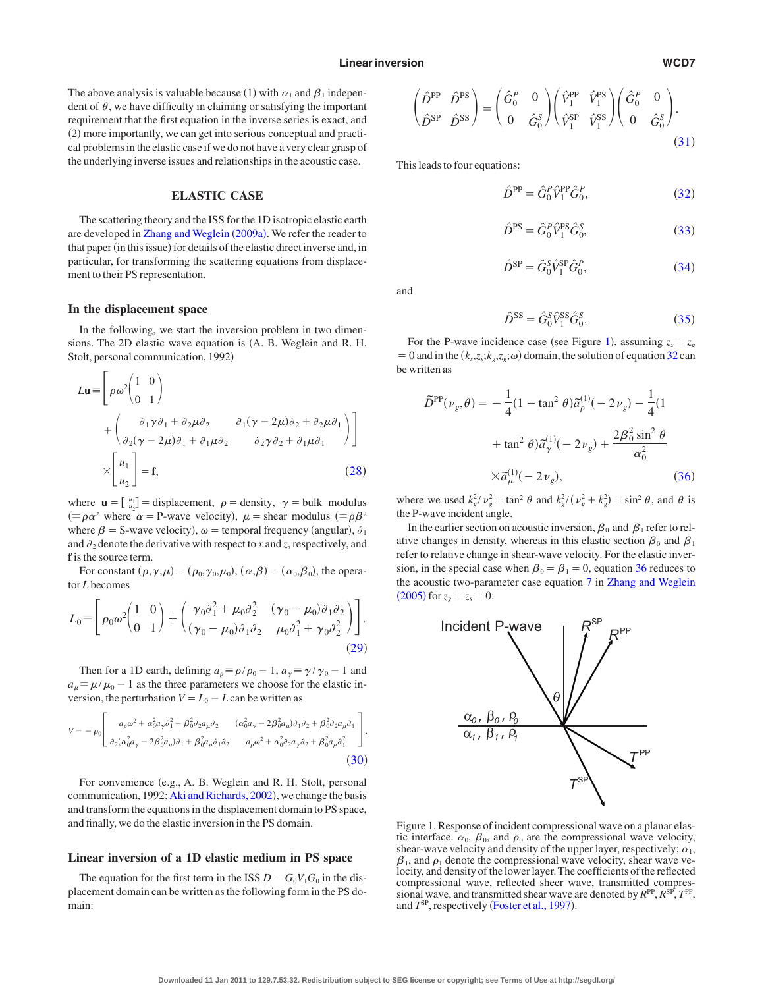The above analysis is valuable because (1) with  $\alpha_1$  and  $\beta_1$  independent of  $\theta$ , we have difficulty in claiming or satisfying the important requirement that the first equation in the inverse series is exact, and (2) more importantly, we can get into serious conceptual and practical problems in the elastic case if we do not have a very clear grasp of the underlying inverse issues and relationships in the acoustic case.

#### **ELASTIC CASE**

The scattering theory and the ISS for the 1D isotropic elastic earth are developed in [Zhang and Weglein](#page-12-4) (2009a). We refer the reader to that paper (in this issue) for details of the elastic direct inverse and, in particular, for transforming the scattering equations from displacement to their PS representation.

### **In the displacement space**

In the following, we start the inversion problem in two dimensions. The 2D elastic wave equation is (A. B. Weglein and R. H. Stolt, personal communication, 1992)

<span id="page-6-0"></span>
$$
L\mathbf{u} = \begin{bmatrix} \rho \omega^2 \begin{pmatrix} 1 & 0 \\ 0 & 1 \end{pmatrix} \\ + \begin{pmatrix} \partial_1 \gamma \partial_1 + \partial_2 \mu \partial_2 & \partial_1 (\gamma - 2\mu) \partial_2 + \partial_2 \mu \partial_1 \\ \partial_2 (\gamma - 2\mu) \partial_1 + \partial_1 \mu \partial_2 & \partial_2 \gamma \partial_2 + \partial_1 \mu \partial_1 \end{bmatrix} \end{bmatrix} \\ \times \begin{bmatrix} u_1 \\ u_2 \end{bmatrix} = \mathbf{f}, \tag{28}
$$

where  $\mathbf{u} = \begin{bmatrix} u_1 \\ u_2 \end{bmatrix}$  = displacement,  $\rho$  = density,  $\gamma$  = bulk modulus  $(\equiv \rho \alpha^2$  where  $\alpha = P$ -wave velocity),  $\mu =$  shear modulus  $(\equiv \rho \beta^2)$ where  $\beta$  = S-wave velocity),  $\omega$  = temporal frequency (angular),  $\partial_1$ and  $\partial_2$  denote the derivative with respect to *x* and *z*, respectively, and **f** is the source term.

For constant  $(\rho, \gamma, \mu) = (\rho_0, \gamma_0, \mu_0), (\alpha, \beta) = (\alpha_0, \beta_0)$ , the operator *L* becomes

<span id="page-6-1"></span>
$$
L_0 = \left[\rho_0 \omega^2 \begin{pmatrix} 1 & 0 \\ 0 & 1 \end{pmatrix} + \begin{pmatrix} \gamma_0 \partial_1^2 + \mu_0 \partial_2^2 & (\gamma_0 - \mu_0) \partial_1 \partial_2 \\ (\gamma_0 - \mu_0) \partial_1 \partial_2 & \mu_0 \partial_1^2 + \gamma_0 \partial_2^2 \end{pmatrix}\right].
$$
\n(29)

Then for a 1D earth, defining  $a_{\rho} \equiv \rho / \rho_0 - 1$ ,  $a_{\gamma} \equiv \gamma / \gamma_0 - 1$  and  $a_{\mu} \equiv \mu / \mu_0 - 1$  as the three parameters we choose for the elastic inversion, the perturbation  $V = L_0 - L$  can be written as

<span id="page-6-2"></span>
$$
V = -\rho_0 \left[ \begin{array}{cc} a_{\rho}\omega^2 + \alpha_0^2 a_{\gamma}\partial_1^2 + \beta_0^2 \partial_2 a_{\mu}\partial_2 & (\alpha_0^2 a_{\gamma} - 2\beta_0^2 a_{\mu})\partial_1 \partial_2 + \beta_0^2 \partial_2 a_{\mu}\partial_1 \\ \partial_2(\alpha_0^2 a_{\gamma} - 2\beta_0^2 a_{\mu})\partial_1 + \beta_0^2 a_{\mu}\partial_1 \partial_2 & a_{\rho}\omega^2 + \alpha_0^2 \partial_2 a_{\gamma}\partial_2 + \beta_0^2 a_{\mu}\partial_1^2 \end{array} \right].
$$
\n(30)

For convenience (e.g., A. B. Weglein and R. H. Stolt, personal communication, 1992; [Aki and Richards, 2002](#page-11-8)), we change the basis and transform the equations in the displacement domain to PS space, and finally, we do the elastic inversion in the PS domain.

#### **Linear inversion of a 1D elastic medium in PS space**

The equation for the first term in the ISS  $D = G_0 V_1 G_0$  in the displacement domain can be written as the following form in the PS domain:

<span id="page-6-3"></span>
$$
\begin{pmatrix}\n\hat{D}^{\text{PP}} & \hat{D}^{\text{PS}} \\
\hat{D}^{\text{SP}} & \hat{D}^{\text{SS}}\n\end{pmatrix} = \begin{pmatrix}\n\hat{G}_0^P & 0 \\
0 & \hat{G}_0^S\n\end{pmatrix} \begin{pmatrix}\n\hat{V}_1^{\text{PP}} & \hat{V}_1^{\text{PS}} \\
\hat{V}_1^{\text{SP}} & \hat{V}_1^{\text{SS}}\n\end{pmatrix} \begin{pmatrix}\n\hat{G}_0^P & 0 \\
0 & \hat{G}_0^S\n\end{pmatrix}.
$$
\n(31)

<span id="page-6-5"></span><span id="page-6-4"></span>This leads to four equations:

$$
\hat{D}^{\rm PP} = \hat{G}_0^P \hat{V}_1^{\rm PP} \hat{G}_0^P,\tag{32}
$$

$$
\hat{D}^{\rm PS} = \hat{G}_0^P \hat{V}_1^{\rm PS} \hat{G}_0^S, \tag{33}
$$

$$
\hat{D}^{\rm SP} = \hat{G}_0^S \hat{V}_1^{\rm SP} \hat{G}_0^P, \tag{34}
$$

<span id="page-6-7"></span><span id="page-6-6"></span>and

$$
\hat{D}^{SS} = \hat{G}_0^S \hat{V}_1^{SS} \hat{G}_0^S. \tag{35}
$$

For the P-wave incidence case (see Figure [1](#page-6-8)), assuming  $z_s = z_g$  $= 0$  and in the  $(k_s, z_s; k_g, z_g; \omega)$  domain, the solution of equation [32](#page-6-4) can be written as

<span id="page-6-9"></span>
$$
\begin{aligned}\n\tilde{D}^{\text{PP}}(\nu_g, \theta) &= -\frac{1}{4} (1 - \tan^2 \theta) \tilde{a}_{\rho}^{(1)}(-2\nu_g) - \frac{1}{4} (1 \\
&+ \tan^2 \theta) \tilde{a}_{\gamma}^{(1)}(-2\nu_g) + \frac{2\beta_0^2 \sin^2 \theta}{\alpha_0^2} \\
&\times \tilde{a}_{\mu}^{(1)}(-2\nu_g),\n\end{aligned}
$$
\n(36)

where we used  $k_g^2 / v_g^2 = \tan^2 \theta$  and  $k_g^2 / (v_g^2 + k_g^2) = \sin^2 \theta$ , and  $\theta$  is the P-wave incident angle.

In the earlier section on acoustic inversion,  $\beta_0$  and  $\beta_1$  refer to relative changes in density, whereas in this elastic section  $\beta_0$  and  $\beta_1$ refer to relative change in shear-wave velocity. For the elastic inversion, in the special case when  $\beta_0 = \beta_1 = 0$ , equation [36](#page-6-9) reduces to the acoustic two-parameter case equation [7](#page-4-1) in [Zhang and Weglein](#page-12-5)  $(2005)$  $(2005)$  $(2005)$  for  $z_g = z_s = 0$ :

<span id="page-6-8"></span>

Figure 1. Response of incident compressional wave on a planar elastic interface.  $\alpha_0$ ,  $\beta_0$ , and  $\rho_0$  are the compressional wave velocity, shear-wave velocity and density of the upper layer, respectively;  $\alpha_1$ ,  $\beta_1$ , and  $\rho_1$  denote the compressional wave velocity, shear wave velocity, and density of the lower layer. The coefficients of the reflected compressional wave, reflected sheer wave, transmitted compressional wave, and transmitted shear wave are denoted by  $R^{\text{PP}}, R^{\text{SP}}, T^{\text{PP}}$ , and  $T^{\text{SP}}$ , respectively ([Foster et al., 1997](#page-11-9)).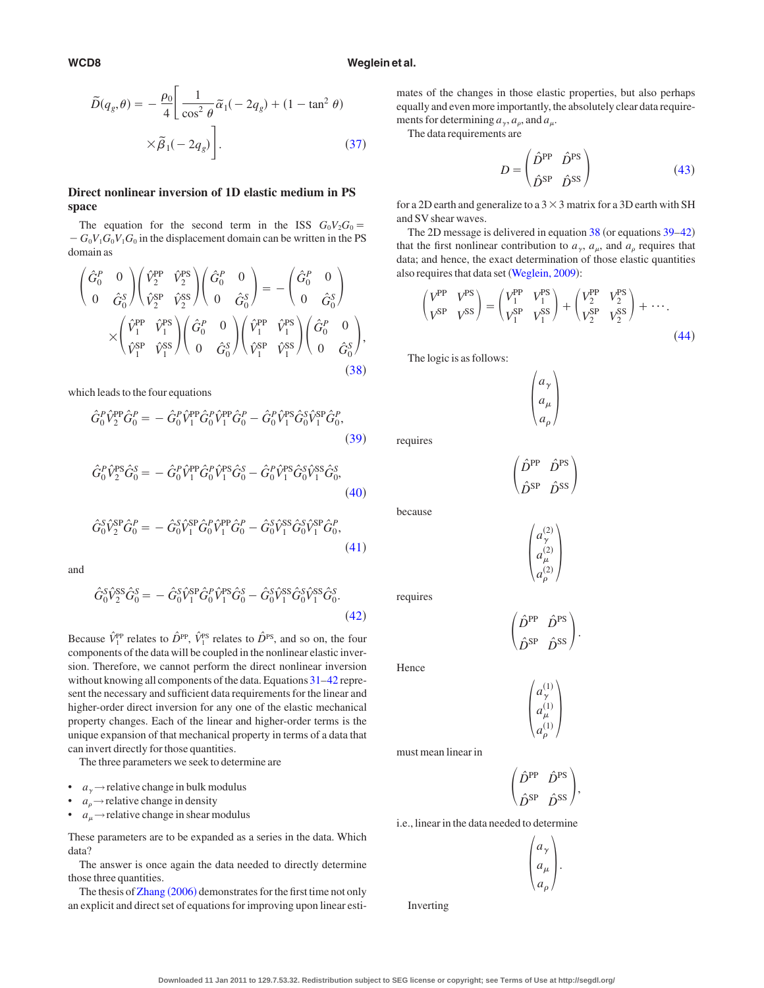<span id="page-7-0"></span>
$$
\tilde{D}(q_g, \theta) = -\frac{\rho_0}{4} \left[ \frac{1}{\cos^2 \theta} \tilde{\alpha}_1(-2q_g) + (1 - \tan^2 \theta) \times \tilde{\beta}_1(-2q_g) \right].
$$
\n(37)

# **Direct nonlinear inversion of 1D elastic medium in PS space**

The equation for the second term in the ISS  $G_0V_2G_0 =$  $-G_0V_1G_0V_1G_0$  in the displacement domain can be written in the PS domain as

<span id="page-7-1"></span>
$$
\begin{pmatrix}\n\hat{G}_0^P & 0 \\
0 & \hat{G}_0^S\n\end{pmatrix}\n\begin{pmatrix}\n\hat{V}_2^{PP} & \hat{V}_2^{PS} \\
\hat{V}_2^{SP} & \hat{V}_2^{SS}\n\end{pmatrix}\n\begin{pmatrix}\n\hat{G}_0^P & 0 \\
0 & \hat{G}_0^S\n\end{pmatrix} = -\n\begin{pmatrix}\n\hat{G}_0^P & 0 \\
0 & \hat{G}_0^S\n\end{pmatrix}
$$
\n
$$
\times \begin{pmatrix}\n\hat{V}_1^{PP} & \hat{V}_1^{PS} \\
\hat{V}_1^{SP} & \hat{V}_1^{SS}\n\end{pmatrix}\n\begin{pmatrix}\n\hat{G}_0^P & 0 \\
0 & \hat{G}_0^S\n\end{pmatrix}\n\begin{pmatrix}\n\hat{V}_1^{PP} & \hat{V}_1^{PS} \\
\hat{V}_1^{SP} & \hat{V}_1^{SS}\n\end{pmatrix}\n\begin{pmatrix}\n\hat{G}_0^P & 0 \\
0 & \hat{G}_0^S\n\end{pmatrix},
$$
\n(38)

<span id="page-7-2"></span>which leads to the four equations

$$
\hat{G}_0^P \hat{V}_2^{\rm PP} \hat{G}_0^P = -\hat{G}_0^P \hat{V}_1^{\rm PP} \hat{G}_0^P \hat{V}_1^{\rm PP} \hat{G}_0^P - \hat{G}_0^P \hat{V}_1^{\rm PS} \hat{G}_0^S \hat{V}_1^{\rm SP} \hat{G}_0^P, \tag{39}
$$

<span id="page-7-3"></span>
$$
\hat{G}_0^P \hat{V}_2^{PS} \hat{G}_0^S = -\hat{G}_0^P \hat{V}_1^{PP} \hat{G}_0^P \hat{V}_1^{PS} \hat{G}_0^S - \hat{G}_0^P \hat{V}_1^{PS} \hat{G}_0^S \hat{V}_1^{SS} \hat{G}_0^S, \tag{40}
$$

<span id="page-7-4"></span>
$$
\hat{G}_0^S \hat{V}_2^{SP} \hat{G}_0^P = -\hat{G}_0^S \hat{V}_1^{SP} \hat{G}_0^P \hat{V}_1^{PP} \hat{G}_0^P - \hat{G}_0^S \hat{V}_1^{SS} \hat{G}_0^S \hat{V}_1^{SP} \hat{G}_0^P, \tag{41}
$$

<span id="page-7-5"></span>and

$$
\hat{G}_0^S \hat{V}_2^{SS} \hat{G}_0^S = -\hat{G}_0^S \hat{V}_1^{SP} \hat{G}_0^P \hat{V}_1^{PS} \hat{G}_0^S - \hat{G}_0^S \hat{V}_1^{SS} \hat{G}_0^S \hat{V}_1^{SS} \hat{G}_0^S. \tag{42}
$$

Because  $\hat{V}_1^{\text{PP}}$  relates to  $\hat{D}^{\text{PP}}$ ,  $\hat{V}_1^{\text{PS}}$  relates to  $\hat{D}^{\text{PS}}$ , and so on, the four components of the data will be coupled in the nonlinear elastic inversion. Therefore, we cannot perform the direct nonlinear inversion without knowing all components of the data. Equations [31](#page-6-3)[–42](#page-7-5) represent the necessary and sufficient data requirements for the linear and higher-order direct inversion for any one of the elastic mechanical property changes. Each of the linear and higher-order terms is the unique expansion of that mechanical property in terms of a data that can invert directly for those quantities.

The three parameters we seek to determine are

- $a_{\gamma} \rightarrow$  relative change in bulk modulus
- $a_{\rho} \rightarrow$  relative change in density
- $a_{\mu}$   $\rightarrow$  relative change in shear modulus

These parameters are to be expanded as a series in the data. Which data?

The answer is once again the data needed to directly determine those three quantities.

The thesis of [Zhang](#page-12-6) (2006) demonstrates for the first time not only an explicit and direct set of equations for improving upon linear estimates of the changes in those elastic properties, but also perhaps equally and even more importantly, the absolutely clear data requirements for determining  $a_{\gamma}$ ,  $a_{\rho}$ , and  $a_{\mu}$ .

<span id="page-7-6"></span>The data requirements are

$$
D = \begin{pmatrix} \hat{D}^{\text{PP}} & \hat{D}^{\text{PS}} \\ \hat{D}^{\text{SP}} & \hat{D}^{\text{SS}} \end{pmatrix}
$$
(43)

for a 2D earth and generalize to a  $3 \times 3$  matrix for a 3D earth with SH and SV shear waves.

The 2D message is delivered in equation  $38$  (or equations  $39-42$  $39-42$ ) that the first nonlinear contribution to  $a_{\gamma}$ ,  $a_{\mu}$ , and  $a_{\rho}$  requires that data; and hence, the exact determination of those elastic quantities also requires that data set ([Weglein, 2009](#page-11-10)):

<span id="page-7-7"></span>
$$
\begin{pmatrix} V^{\rm PP} & V^{\rm PS} \\ V^{\rm SP} & V^{\rm SS} \end{pmatrix} = \begin{pmatrix} V_1^{\rm PP} & V_1^{\rm PS} \\ V_1^{\rm SP} & V_1^{\rm SS} \end{pmatrix} + \begin{pmatrix} V_2^{\rm PP} & V_2^{\rm PS} \\ V_2^{\rm SP} & V_2^{\rm SS} \end{pmatrix} + \cdots
$$
\n(44)

The logic is as follows:

$$
\begin{pmatrix} a_{\gamma} \\ a_{\mu} \\ a_{\rho} \end{pmatrix}
$$

$$
\begin{pmatrix} \hat{D}^{\mathrm{PP}} & \hat{D}^{\mathrm{PS}} \\ \hat{D}^{\mathrm{SP}} & \hat{D}^{\mathrm{SS}} \end{pmatrix}
$$

because

requires

$$
\begin{pmatrix} a^{(2)}_\gamma \\ a^{(2)}_\mu \\ a^{(2)}_\rho \end{pmatrix}
$$

requires

$$
\begin{pmatrix}\hat{D}^{\mathrm{PP}} & \hat{D}^{\mathrm{PS}} \\ \hat{D}^{\mathrm{SP}} & \hat{D}^{\mathrm{SS}}\end{pmatrix}.
$$

Hence

$$
\begin{pmatrix} a^{(1)}_\gamma \\ a^{(1)}_\mu \\ a^{(1)}_\rho \end{pmatrix}
$$

must mean linear in

$$
\begin{pmatrix}\n\hat{D}^{\text{PP}} & \hat{D}^{\text{PS}} \\
\hat{D}^{\text{SP}} & \hat{D}^{\text{SS}}\n\end{pmatrix},
$$

i.e., linear in the data needed to determine

$$
\begin{pmatrix} a_{\gamma} \\ a_{\mu} \\ a_{\rho} \end{pmatrix}.
$$

Inverting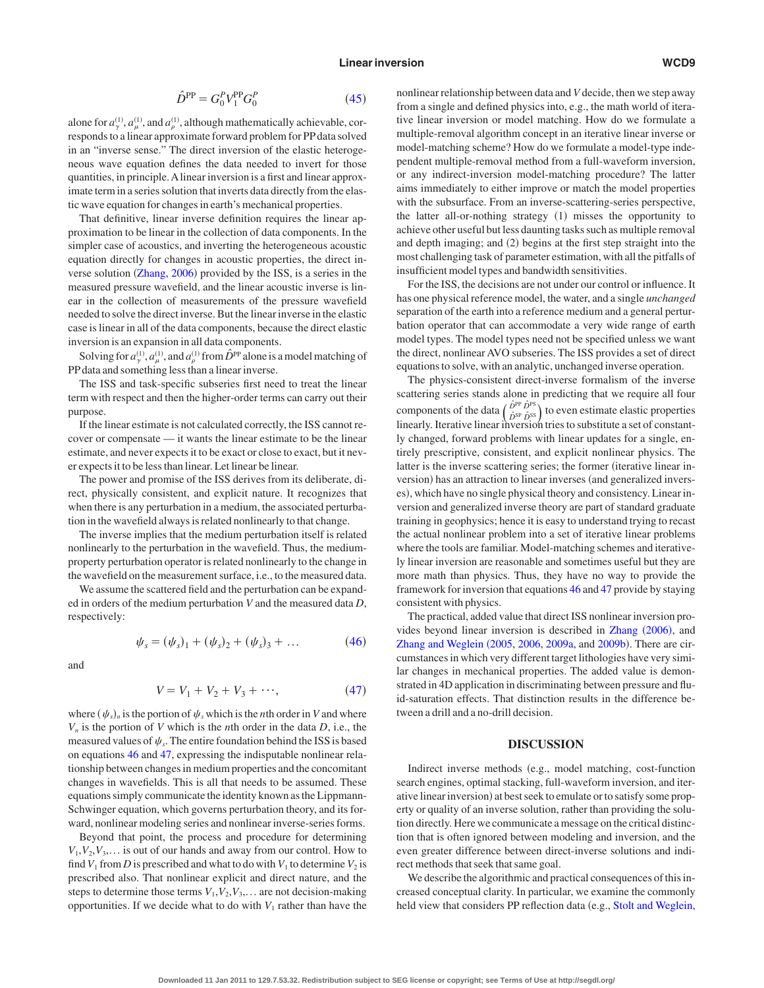$$
\hat{D}^{\rm PP} = G_0^P V_1^{\rm PP} G_0^P \tag{45}
$$

<span id="page-8-0"></span>alone for  $a_{\gamma}^{(1)}$ ,  $a_{\mu}^{(1)}$ , and  $a_{\rho}^{(1)}$ , although mathematically achievable, corresponds to a linear approximate forward problem for PP data solved in an "inverse sense." The direct inversion of the elastic heterogeneous wave equation defines the data needed to invert for those quantities, in principle.Alinear inversion is a first and linear approximate term in a series solution that inverts data directly from the elastic wave equation for changes in earth's mechanical properties.

That definitive, linear inverse definition requires the linear approximation to be linear in the collection of data components. In the simpler case of acoustics, and inverting the heterogeneous acoustic equation directly for changes in acoustic properties, the direct in-verse solution ([Zhang, 2006](#page-12-3)) provided by the ISS, is a series in the measured pressure wavefield, and the linear acoustic inverse is linear in the collection of measurements of the pressure wavefield needed to solve the direct inverse. But the linear inverse in the elastic case is linear in all of the data components, because the direct elastic inversion is an expansion in all data components.

Solving for  $a^{(1)}_\gamma, a^{(1)}_\mu$ , and  $a^{(1)}_\rho$  from  $\hat{D}^{\rm PP}$  alone is a model matching of PP data and something less than a linear inverse.

The ISS and task-specific subseries first need to treat the linear term with respect and then the higher-order terms can carry out their purpose.

If the linear estimate is not calculated correctly, the ISS cannot recover or compensate — it wants the linear estimate to be the linear estimate, and never expects it to be exact or close to exact, but it never expects it to be less than linear. Let linear be linear.

The power and promise of the ISS derives from its deliberate, direct, physically consistent, and explicit nature. It recognizes that when there is any perturbation in a medium, the associated perturbation in the wavefield always is related nonlinearly to that change.

The inverse implies that the medium perturbation itself is related nonlinearly to the perturbation in the wavefield. Thus, the mediumproperty perturbation operator is related nonlinearly to the change in the wavefield on the measurement surface, i.e., to the measured data.

We assume the scattered field and the perturbation can be expanded in orders of the medium perturbation *V* and the measured data *D*, respectively:

$$
\psi_s = (\psi_s)_1 + (\psi_s)_2 + (\psi_s)_3 + \dots \tag{46}
$$

<span id="page-8-2"></span><span id="page-8-1"></span>and

$$
V = V_1 + V_2 + V_3 + \cdots,
$$
 (47)

where  $(\psi_s)_n$  is the portion of  $\psi_s$  which is the *n*th order in *V* and where  $V_n$  is the portion of *V* which is the *n*th order in the data *D*, i.e., the measured values of  $\psi_s$ . The entire foundation behind the ISS is based on equations [46](#page-8-1) and [47,](#page-8-2) expressing the indisputable nonlinear relationship between changes in medium properties and the concomitant changes in wavefields. This is all that needs to be assumed. These equations simply communicate the identity known as the Lippmann-Schwinger equation, which governs perturbation theory, and its forward, nonlinear modeling series and nonlinear inverse-series forms.

Beyond that point, the process and procedure for determining  $V_1, V_2, V_3, \ldots$  is out of our hands and away from our control. How to find  $V_1$  from *D* is prescribed and what to do with  $V_1$  to determine  $V_2$  is prescribed also. That nonlinear explicit and direct nature, and the steps to determine those terms  $V_1, V_2, V_3, \ldots$  are not decision-making opportunities. If we decide what to do with  $V_1$  rather than have the nonlinear relationship between data and *V* decide, then we step away from a single and defined physics into, e.g., the math world of iterative linear inversion or model matching. How do we formulate a multiple-removal algorithm concept in an iterative linear inverse or model-matching scheme? How do we formulate a model-type independent multiple-removal method from a full-waveform inversion, or any indirect-inversion model-matching procedure? The latter aims immediately to either improve or match the model properties with the subsurface. From an inverse-scattering-series perspective, the latter all-or-nothing strategy (1) misses the opportunity to achieve other useful but less daunting tasks such as multiple removal and depth imaging; and (2) begins at the first step straight into the most challenging task of parameter estimation, with all the pitfalls of insufficient model types and bandwidth sensitivities.

For the ISS, the decisions are not under our control or influence. It has one physical reference model, the water, and a single *unchanged* separation of the earth into a reference medium and a general perturbation operator that can accommodate a very wide range of earth model types. The model types need not be specified unless we want the direct, nonlinear AVO subseries. The ISS provides a set of direct equations to solve, with an analytic, unchanged inverse operation.

The physics-consistent direct-inverse formalism of the inverse scattering series stands alone in predicting that we require all four components of the data  $\left(\frac{\hat{D}^{PP} \hat{D}^{PS}}{\hat{D}^{SP}}\right)$  to even estimate elastic properties linearly. Iterative linear inversion tries to substitute a set of constantly changed, forward problems with linear updates for a single, entirely prescriptive, consistent, and explicit nonlinear physics. The latter is the inverse scattering series; the former (iterative linear inversion) has an attraction to linear inverses (and generalized inverses), which have no single physical theory and consistency. Linear inversion and generalized inverse theory are part of standard graduate training in geophysics; hence it is easy to understand trying to recast the actual nonlinear problem into a set of iterative linear problems where the tools are familiar. Model-matching schemes and iteratively linear inversion are reasonable and sometimes useful but they are more math than physics. Thus, they have no way to provide the framework for inversion that equations [46](#page-8-1) and [47](#page-8-2) provide by staying consistent with physics.

The practical, added value that direct ISS nonlinear inversion pro-vides beyond linear inversion is described in [Zhang](#page-12-3) (2006), and [Zhang and Weglein](#page-12-5) (2005, [2006,](#page-12-6) [2009a,](#page-12-4) and [2009b](#page-12-7)). There are circumstances in which very different target lithologies have very similar changes in mechanical properties. The added value is demonstrated in 4D application in discriminating between pressure and fluid-saturation effects. That distinction results in the difference between a drill and a no-drill decision.

#### **DISCUSSION**

Indirect inverse methods (e.g., model matching, cost-function search engines, optimal stacking, full-waveform inversion, and iterative linear inversion) at best seek to emulate or to satisfy some property or quality of an inverse solution, rather than providing the solution directly. Here we communicate a message on the critical distinction that is often ignored between modeling and inversion, and the even greater difference between direct-inverse solutions and indirect methods that seek that same goal.

We describe the algorithmic and practical consequences of this increased conceptual clarity. In particular, we examine the commonly held view that considers PP reflection data (e.g., [Stolt and Weglein,](#page-11-11)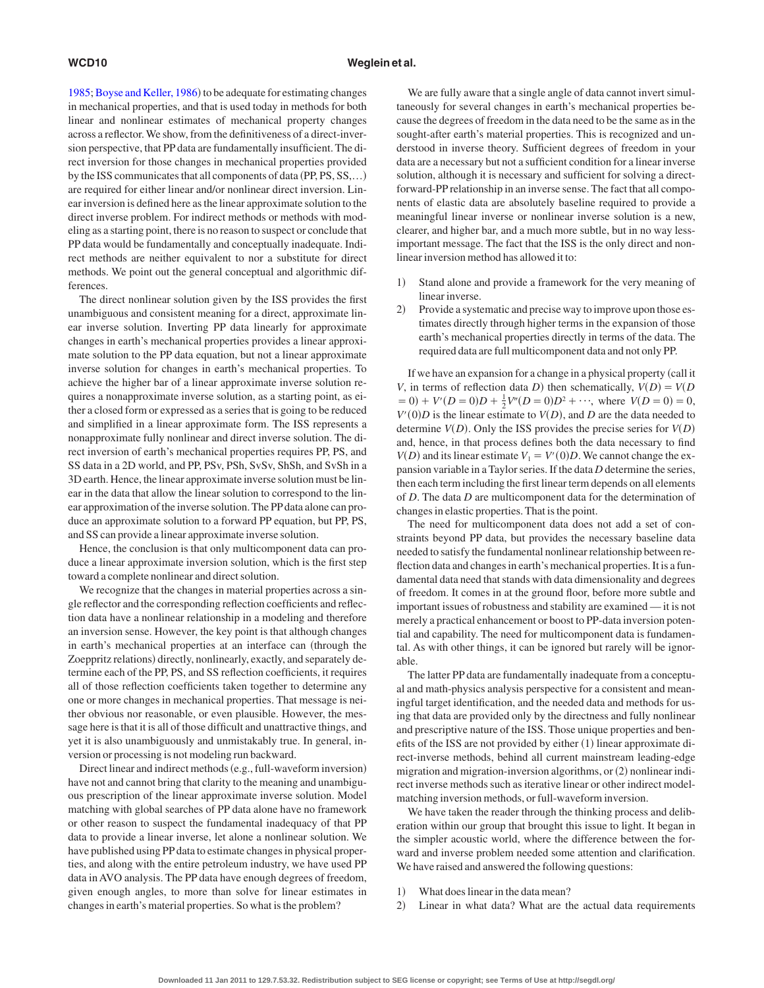[1985;](#page-11-11) [Boyse and Keller, 1986](#page-11-12)) to be adequate for estimating changes in mechanical properties, and that is used today in methods for both linear and nonlinear estimates of mechanical property changes across a reflector.We show, from the definitiveness of a direct-inversion perspective, that PP data are fundamentally insufficient. The direct inversion for those changes in mechanical properties provided by the ISS communicates that all components of data (PP, PS, SS,...) are required for either linear and/or nonlinear direct inversion. Linear inversion is defined here as the linear approximate solution to the direct inverse problem. For indirect methods or methods with modeling as a starting point, there is no reason to suspect or conclude that PP data would be fundamentally and conceptually inadequate. Indirect methods are neither equivalent to nor a substitute for direct methods. We point out the general conceptual and algorithmic differences.

The direct nonlinear solution given by the ISS provides the first unambiguous and consistent meaning for a direct, approximate linear inverse solution. Inverting PP data linearly for approximate changes in earth's mechanical properties provides a linear approximate solution to the PP data equation, but not a linear approximate inverse solution for changes in earth's mechanical properties. To achieve the higher bar of a linear approximate inverse solution requires a nonapproximate inverse solution, as a starting point, as either a closed form or expressed as a series that is going to be reduced and simplified in a linear approximate form. The ISS represents a nonapproximate fully nonlinear and direct inverse solution. The direct inversion of earth's mechanical properties requires PP, PS, and SS data in a 2D world, and PP, PSv, PSh, SvSv, ShSh, and SvSh in a 3D earth. Hence, the linear approximate inverse solution must be linear in the data that allow the linear solution to correspond to the linear approximation of the inverse solution. The PP data alone can produce an approximate solution to a forward PP equation, but PP, PS, and SS can provide a linear approximate inverse solution.

Hence, the conclusion is that only multicomponent data can produce a linear approximate inversion solution, which is the first step toward a complete nonlinear and direct solution.

We recognize that the changes in material properties across a single reflector and the corresponding reflection coefficients and reflection data have a nonlinear relationship in a modeling and therefore an inversion sense. However, the key point is that although changes in earth's mechanical properties at an interface can (through the Zoeppritz relations) directly, nonlinearly, exactly, and separately determine each of the PP, PS, and SS reflection coefficients, it requires all of those reflection coefficients taken together to determine any one or more changes in mechanical properties. That message is neither obvious nor reasonable, or even plausible. However, the message here is that it is all of those difficult and unattractive things, and yet it is also unambiguously and unmistakably true. In general, inversion or processing is not modeling run backward.

Direct linear and indirect methods (e.g., full-waveform inversion) have not and cannot bring that clarity to the meaning and unambiguous prescription of the linear approximate inverse solution. Model matching with global searches of PP data alone have no framework or other reason to suspect the fundamental inadequacy of that PP data to provide a linear inverse, let alone a nonlinear solution. We have published using PP data to estimate changes in physical properties, and along with the entire petroleum industry, we have used PP data in AVO analysis. The PP data have enough degrees of freedom, given enough angles, to more than solve for linear estimates in changes in earth's material properties. So what is the problem?

We are fully aware that a single angle of data cannot invert simultaneously for several changes in earth's mechanical properties because the degrees of freedom in the data need to be the same as in the sought-after earth's material properties. This is recognized and understood in inverse theory. Sufficient degrees of freedom in your data are a necessary but not a sufficient condition for a linear inverse solution, although it is necessary and sufficient for solving a directforward-PP relationship in an inverse sense. The fact that all components of elastic data are absolutely baseline required to provide a meaningful linear inverse or nonlinear inverse solution is a new, clearer, and higher bar, and a much more subtle, but in no way lessimportant message. The fact that the ISS is the only direct and nonlinear inversion method has allowed it to:

- 1) Stand alone and provide a framework for the very meaning of linear inverse.
- 2) Provide a systematic and precise way to improve upon those estimates directly through higher terms in the expansion of those earth's mechanical properties directly in terms of the data. The required data are full multicomponent data and not only PP.

If we have an expansion for a change in a physical property call it *V*, in terms of reflection data *D*) then schematically,  $V(D) = V(D)$  $V'(D = 0)D + \frac{1}{2}V''(D = 0)D^2 + \cdots$ , where  $V(D = 0) = 0$ ,  $V'(0)D$  is the linear estimate to  $V(D)$ , and  $D$  are the data needed to determine  $V(D)$ . Only the ISS provides the precise series for  $V(D)$ and, hence, in that process defines both the data necessary to find  $V(D)$  and its linear estimate  $V_1 = V'(0)D$ . We cannot change the expansion variable in a Taylor series. If the data *D* determine the series, then each term including the first linear term depends on all elements of *D*. The data *D* are multicomponent data for the determination of changes in elastic properties. That is the point.

The need for multicomponent data does not add a set of constraints beyond PP data, but provides the necessary baseline data needed to satisfy the fundamental nonlinear relationship between reflection data and changes in earth's mechanical properties. It is a fundamental data need that stands with data dimensionality and degrees of freedom. It comes in at the ground floor, before more subtle and important issues of robustness and stability are examined — it is not merely a practical enhancement or boost to PP-data inversion potential and capability. The need for multicomponent data is fundamental. As with other things, it can be ignored but rarely will be ignorable.

The latter PP data are fundamentally inadequate from a conceptual and math-physics analysis perspective for a consistent and meaningful target identification, and the needed data and methods for using that data are provided only by the directness and fully nonlinear and prescriptive nature of the ISS. Those unique properties and benefits of the ISS are not provided by either (1) linear approximate direct-inverse methods, behind all current mainstream leading-edge migration and migration-inversion algorithms, or (2) nonlinear indirect inverse methods such as iterative linear or other indirect modelmatching inversion methods, or full-waveform inversion.

We have taken the reader through the thinking process and deliberation within our group that brought this issue to light. It began in the simpler acoustic world, where the difference between the forward and inverse problem needed some attention and clarification. We have raised and answered the following questions:

- 1) What does linear in the data mean?
- 2) Linear in what data? What are the actual data requirements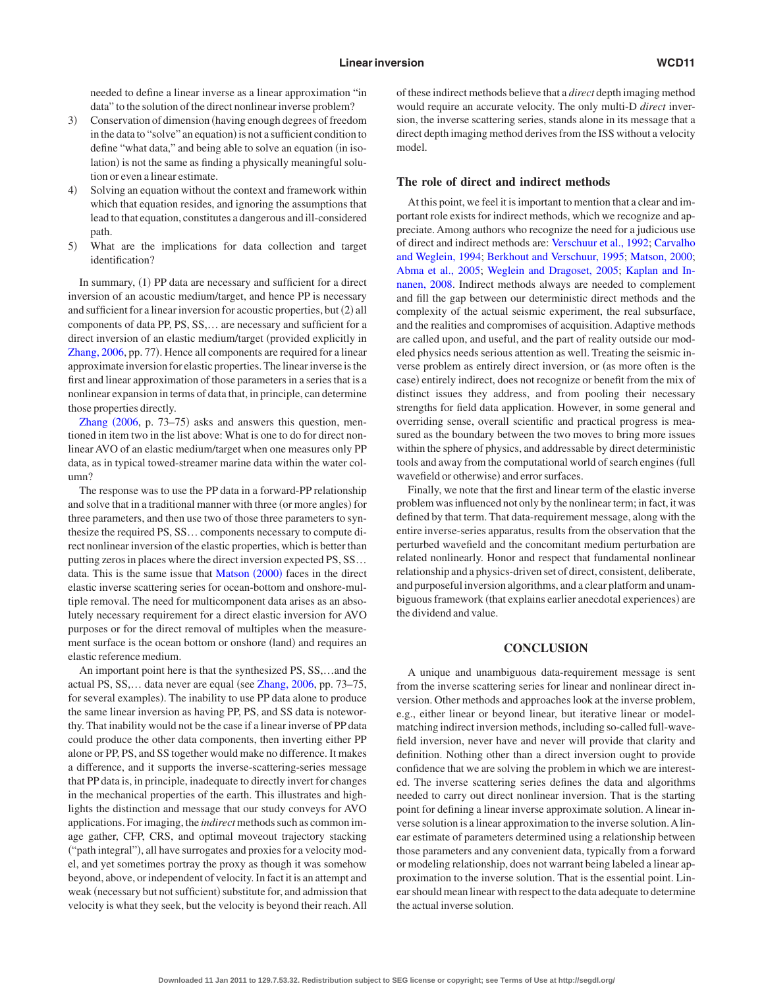needed to define a linear inverse as a linear approximation "in data" to the solution of the direct nonlinear inverse problem?

- 3) Conservation of dimension (having enough degrees of freedom in the data to "solve" an equation) is not a sufficient condition to define "what data," and being able to solve an equation (in isolation) is not the same as finding a physically meaningful solution or even a linear estimate.
- 4) Solving an equation without the context and framework within which that equation resides, and ignoring the assumptions that lead to that equation, constitutes a dangerous and ill-considered path.
- 5) What are the implications for data collection and target identification?

In summary, (1) PP data are necessary and sufficient for a direct inversion of an acoustic medium/target, and hence PP is necessary and sufficient for a linear inversion for acoustic properties, but (2) all components of data PP, PS, SS,… are necessary and sufficient for a direct inversion of an elastic medium/target (provided explicitly in [Zhang, 2006,](#page-12-3) pp. 77). Hence all components are required for a linear approximate inversion for elastic properties. The linear inverse is the first and linear approximation of those parameters in a series that is a nonlinear expansion in terms of data that, in principle, can determine those properties directly.

[Zhang](#page-12-3)  $(2006, p. 73-75)$  asks and answers this question, mentioned in item two in the list above: What is one to do for direct nonlinear AVO of an elastic medium/target when one measures only PP data, as in typical towed-streamer marine data within the water column?

The response was to use the PP data in a forward-PP relationship and solve that in a traditional manner with three (or more angles) for three parameters, and then use two of those three parameters to synthesize the required PS, SS… components necessary to compute direct nonlinear inversion of the elastic properties, which is better than putting zeros in places where the direct inversion expected PS, SS… data. This is the same issue that [Matson](#page-11-13) (2000) faces in the direct elastic inverse scattering series for ocean-bottom and onshore-multiple removal. The need for multicomponent data arises as an absolutely necessary requirement for a direct elastic inversion for AVO purposes or for the direct removal of multiples when the measurement surface is the ocean bottom or onshore (land) and requires an elastic reference medium.

An important point here is that the synthesized PS, SS,…and the actual PS, SS,... data never are equal (see Zhang,  $2006$ , pp. 73–75, for several examples). The inability to use PP data alone to produce the same linear inversion as having PP, PS, and SS data is noteworthy. That inability would not be the case if a linear inverse of PP data could produce the other data components, then inverting either PP alone or PP, PS, and SS together would make no difference. It makes a difference, and it supports the inverse-scattering-series message that PP data is, in principle, inadequate to directly invert for changes in the mechanical properties of the earth. This illustrates and highlights the distinction and message that our study conveys for AVO applications. For imaging, the *indirect* methods such as common image gather, CFP, CRS, and optimal moveout trajectory stacking ("path integral"), all have surrogates and proxies for a velocity model, and yet sometimes portray the proxy as though it was somehow beyond, above, or independent of velocity. In fact it is an attempt and weak (necessary but not sufficient) substitute for, and admission that velocity is what they seek, but the velocity is beyond their reach. All of these indirect methods believe that a *direct* depth imaging method would require an accurate velocity. The only multi-D *direct* inversion, the inverse scattering series, stands alone in its message that a direct depth imaging method derives from the ISS without a velocity model.

### **The role of direct and indirect methods**

At this point, we feel it is important to mention that a clear and important role exists for indirect methods, which we recognize and appreciate. Among authors who recognize the need for a judicious use of direct and indirect methods are: [Verschuur et al., 1992;](#page-11-14) [Carvalho](#page-11-15) [and Weglein, 1994;](#page-11-15) [Berkhout and Verschuur, 1995;](#page-11-16) [Matson, 2000;](#page-11-13) [Abma et al., 2005;](#page-11-17) [Weglein and Dragoset, 2005;](#page-12-8) [Kaplan and In](#page-11-18)[nanen, 2008.](#page-11-18) Indirect methods always are needed to complement and fill the gap between our deterministic direct methods and the complexity of the actual seismic experiment, the real subsurface, and the realities and compromises of acquisition. Adaptive methods are called upon, and useful, and the part of reality outside our modeled physics needs serious attention as well. Treating the seismic inverse problem as entirely direct inversion, or (as more often is the case) entirely indirect, does not recognize or benefit from the mix of distinct issues they address, and from pooling their necessary strengths for field data application. However, in some general and overriding sense, overall scientific and practical progress is measured as the boundary between the two moves to bring more issues within the sphere of physics, and addressable by direct deterministic tools and away from the computational world of search engines (full wavefield or otherwise) and error surfaces.

Finally, we note that the first and linear term of the elastic inverse problem was influenced not only by the nonlinear term; in fact, it was defined by that term. That data-requirement message, along with the entire inverse-series apparatus, results from the observation that the perturbed wavefield and the concomitant medium perturbation are related nonlinearly. Honor and respect that fundamental nonlinear relationship and a physics-driven set of direct, consistent, deliberate, and purposeful inversion algorithms, and a clear platform and unambiguous framework (that explains earlier anecdotal experiences) are the dividend and value.

### **CONCLUSION**

A unique and unambiguous data-requirement message is sent from the inverse scattering series for linear and nonlinear direct inversion. Other methods and approaches look at the inverse problem, e.g., either linear or beyond linear, but iterative linear or modelmatching indirect inversion methods, including so-called full-wavefield inversion, never have and never will provide that clarity and definition. Nothing other than a direct inversion ought to provide confidence that we are solving the problem in which we are interested. The inverse scattering series defines the data and algorithms needed to carry out direct nonlinear inversion. That is the starting point for defining a linear inverse approximate solution. A linear inverse solution is a linear approximation to the inverse solution.Alinear estimate of parameters determined using a relationship between those parameters and any convenient data, typically from a forward or modeling relationship, does not warrant being labeled a linear approximation to the inverse solution. That is the essential point. Linear should mean linear with respect to the data adequate to determine the actual inverse solution.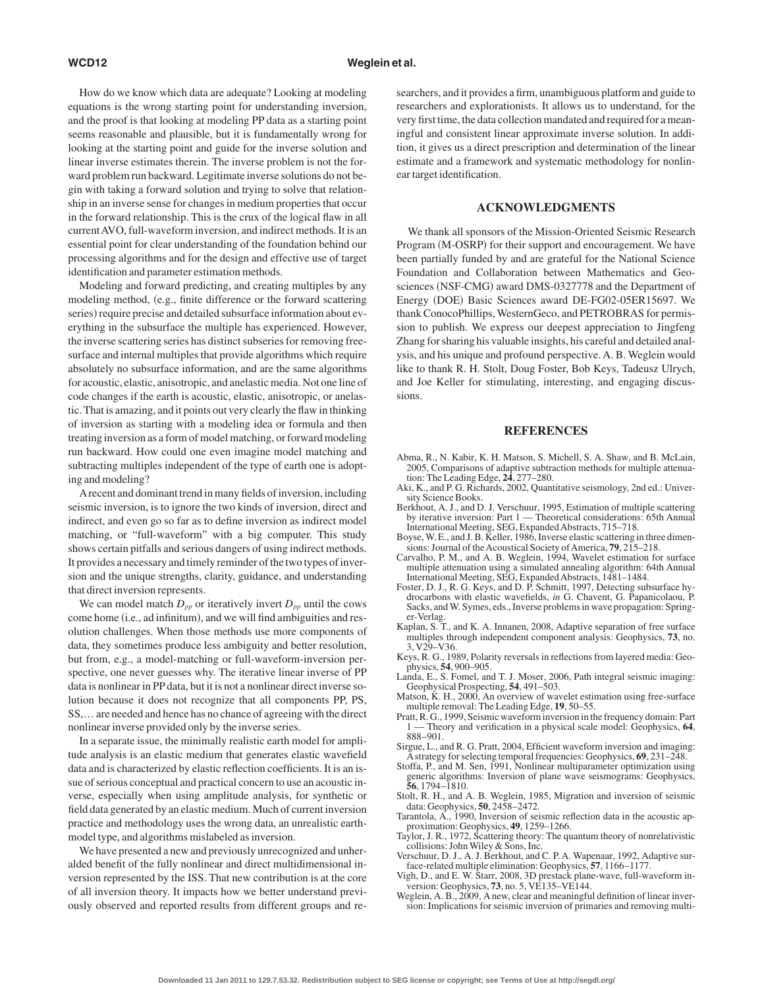How do we know which data are adequate? Looking at modeling equations is the wrong starting point for understanding inversion, and the proof is that looking at modeling PP data as a starting point seems reasonable and plausible, but it is fundamentally wrong for looking at the starting point and guide for the inverse solution and linear inverse estimates therein. The inverse problem is not the forward problem run backward. Legitimate inverse solutions do not begin with taking a forward solution and trying to solve that relationship in an inverse sense for changes in medium properties that occur in the forward relationship. This is the crux of the logical flaw in all currentAVO, full-waveform inversion, and indirect methods. It is an essential point for clear understanding of the foundation behind our processing algorithms and for the design and effective use of target identification and parameter estimation methods.

Modeling and forward predicting, and creating multiples by any modeling method, (e.g., finite difference or the forward scattering series) require precise and detailed subsurface information about everything in the subsurface the multiple has experienced. However, the inverse scattering series has distinct subseries for removing freesurface and internal multiples that provide algorithms which require absolutely no subsurface information, and are the same algorithms for acoustic, elastic, anisotropic, and anelastic media. Not one line of code changes if the earth is acoustic, elastic, anisotropic, or anelastic. That is amazing, and it points out very clearly the flaw in thinking of inversion as starting with a modeling idea or formula and then treating inversion as a form of model matching, or forward modeling run backward. How could one even imagine model matching and subtracting multiples independent of the type of earth one is adopting and modeling?

A recent and dominant trend in many fields of inversion, including seismic inversion, is to ignore the two kinds of inversion, direct and indirect, and even go so far as to define inversion as indirect model matching, or "full-waveform" with a big computer. This study shows certain pitfalls and serious dangers of using indirect methods. It provides a necessary and timely reminder of the two types of inversion and the unique strengths, clarity, guidance, and understanding that direct inversion represents.

We can model match  $D_{pp}$  or iteratively invert  $D_{pp}$  until the cows come home (i.e., ad infinitum), and we will find ambiguities and resolution challenges. When those methods use more components of data, they sometimes produce less ambiguity and better resolution, but from, e.g., a model-matching or full-waveform-inversion perspective, one never guesses why. The iterative linear inverse of PP data is nonlinear in PP data, but it is not a nonlinear direct inverse solution because it does not recognize that all components PP, PS, SS,…are needed and hence has no chance of agreeing with the direct nonlinear inverse provided only by the inverse series.

In a separate issue, the minimally realistic earth model for amplitude analysis is an elastic medium that generates elastic wavefield data and is characterized by elastic reflection coefficients. It is an issue of serious conceptual and practical concern to use an acoustic inverse, especially when using amplitude analysis, for synthetic or field data generated by an elastic medium. Much of current inversion practice and methodology uses the wrong data, an unrealistic earthmodel type, and algorithms mislabeled as inversion.

We have presented a new and previously unrecognized and unheralded benefit of the fully nonlinear and direct multidimensional inversion represented by the ISS. That new contribution is at the core of all inversion theory. It impacts how we better understand previously observed and reported results from different groups and researchers, and it provides a firm, unambiguous platform and guide to researchers and explorationists. It allows us to understand, for the very first time, the data collection mandated and required for a meaningful and consistent linear approximate inverse solution. In addition, it gives us a direct prescription and determination of the linear estimate and a framework and systematic methodology for nonlinear target identification.

### **ACKNOWLEDGMENTS**

We thank all sponsors of the Mission-Oriented Seismic Research Program (M-OSRP) for their support and encouragement. We have been partially funded by and are grateful for the National Science Foundation and Collaboration between Mathematics and Geosciences (NSF-CMG) award DMS-0327778 and the Department of Energy (DOE) Basic Sciences award DE-FG02-05ER15697. We thank ConocoPhillips, WesternGeco, and PETROBRAS for permission to publish. We express our deepest appreciation to Jingfeng Zhang for sharing his valuable insights, his careful and detailed analysis, and his unique and profound perspective. A. B. Weglein would like to thank R. H. Stolt, Doug Foster, Bob Keys, Tadeusz Ulrych, and Joe Keller for stimulating, interesting, and engaging discussions.

### **REFERENCES**

- <span id="page-11-17"></span>Abma, R., N. Kabir, K. H. Matson, S. Michell, S. A. Shaw, and B. McLain, 2005, Comparisons of adaptive subtraction methods for multiple attenuation: The Leading Edge, **24**, 277–280.
- <span id="page-11-8"></span>Aki, K., and P. G. Richards, 2002, Quantitative seismology, 2nd ed.: University Science Books.
- <span id="page-11-16"></span>Berkhout, A. J., and D. J. Verschuur, 1995, Estimation of multiple scattering by iterative inversion: Part 1 — Theoretical considerations: 65th Annual International Meeting, SEG, Expanded Abstracts, 715-718.
- <span id="page-11-12"></span>Boyse, W. E., and J. B. Keller, 1986, Inverse elastic scattering in three dimen-
- <span id="page-11-15"></span>sions: Journal of the Acoustical Society of America, **79**, 215–218.<br>Carvalho, P. M., and A. B. Weglein, 1994, Wavelet estimation for surface multiple attenuation using a simulated annealing algorithm: 64th Annual International Meeting, SEG, ExpandedAbstracts, 1481–1484.
- <span id="page-11-9"></span>Foster, D. J., R. G. Keys, and D. P. Schmitt, 1997, Detecting subsurface hydrocarbons with elastic wavefields, *in* G. Chavent, G. Papanicolaou, P. Sacks, and W. Symes, eds., Inverse problems in wave propagation: Springer-Verlag.
- <span id="page-11-18"></span>Kaplan, S. T., and K. A. Innanen, 2008, Adaptive separation of free surface multiples through independent component analysis: Geophysics, **73**, no. 3, V29–V36.
- <span id="page-11-7"></span>Keys, R. G., 1989, Polarity reversals in reflections from layered media: Geophysics, **54**, 900–905.
- <span id="page-11-4"></span>Landa, E., S. Fomel, and T. J. Moser, 2006, Path integral seismic imaging: Geophysical Prospecting, **54**, 491–503.
- <span id="page-11-13"></span>Matson, K. H., 2000, An overview of wavelet estimation using free-surface multiple removal: The Leading Edge, **19**, 50–55.
- <span id="page-11-2"></span>Pratt, R. G., 1999, Seismic waveform inversion in the frequency domain: Part 1 — Theory and verification in a physical scale model: Geophysics, **64**, 888–901.
- <span id="page-11-3"></span>Sirgue, L., and R. G. Pratt, 2004, Efficient waveform inversion and imaging: A strategy for selecting temporal frequencies: Geophysics, **69**, 231–248.
- <span id="page-11-1"></span>Stoffa, P., and M. Sen, 1991, Nonlinear multiparameter optimization using generic algorithms: Inversion of plane wave seismograms: Geophysics, **56**, 1794–1810.
- <span id="page-11-11"></span>Stolt, R. H., and A. B. Weglein, 1985, Migration and inversion of seismic data: Geophysics, **50**, 2458–2472.
- <span id="page-11-0"></span>Tarantola, A., 1990, Inversion of seismic reflection data in the acoustic approximation: Geophysics, **49**, 1259–1266. Taylor, J. R., 1972, Scattering theory: The quantum theory of nonrelativistic
- <span id="page-11-6"></span>collisions: JohnWiley & Sons, Inc.
- <span id="page-11-14"></span>Verschuur, D. J., A. J. Berkhout, and C. P. A. Wapenaar, 1992, Adaptive surface-related multiple elimination: Geophysics, **57**, 1166–1177.
- <span id="page-11-5"></span>Vigh, D., and E. W. Starr, 2008, 3D prestack plane-wave, full-waveform inversion: Geophysics, **73**, no. 5, VE135–VE144.
- <span id="page-11-10"></span>Weglein, A. B., 2009, A new, clear and meaningful definition of linear inversion: Implications for seismic inversion of primaries and removing multi-